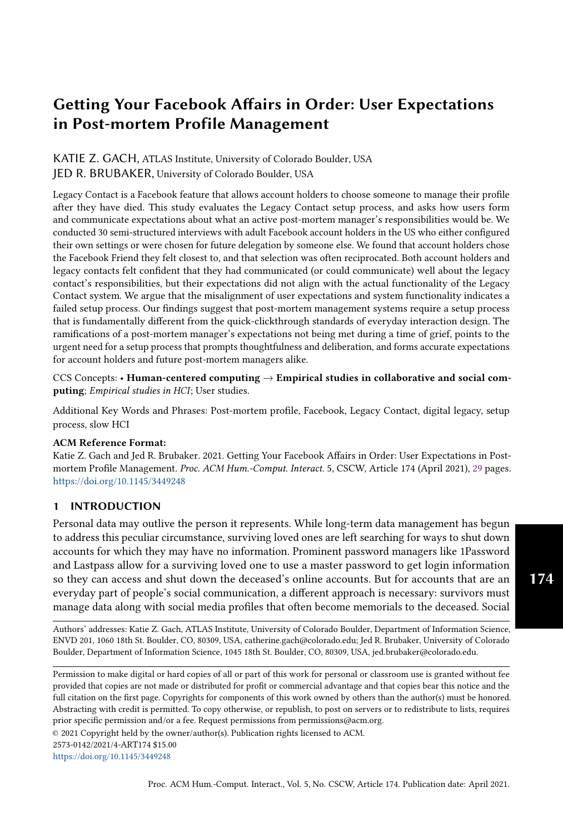# Getting Your Facebook Affairs in Order: User Expectations in Post-mortem Profile Management

# KATIE Z. GACH, ATLAS Institute, University of Colorado Boulder, USA JED R. BRUBAKER, University of Colorado Boulder, USA

Legacy Contact is a Facebook feature that allows account holders to choose someone to manage their profile after they have died. This study evaluates the Legacy Contact setup process, and asks how users form and communicate expectations about what an active post-mortem manager's responsibilities would be. We conducted 30 semi-structured interviews with adult Facebook account holders in the US who either configured their own settings or were chosen for future delegation by someone else. We found that account holders chose the Facebook Friend they felt closest to, and that selection was often reciprocated. Both account holders and legacy contacts felt confident that they had communicated (or could communicate) well about the legacy contact's responsibilities, but their expectations did not align with the actual functionality of the Legacy Contact system. We argue that the misalignment of user expectations and system functionality indicates a failed setup process. Our findings suggest that post-mortem management systems require a setup process that is fundamentally different from the quick-clickthrough standards of everyday interaction design. The ramifications of a post-mortem manager's expectations not being met during a time of grief, points to the urgent need for a setup process that prompts thoughtfulness and deliberation, and forms accurate expectations for account holders and future post-mortem managers alike.

CCS Concepts: • Human-centered computing  $\rightarrow$  Empirical studies in collaborative and social computing; Empirical studies in HCI; User studies.

Additional Key Words and Phrases: Post-mortem profile, Facebook, Legacy Contact, digital legacy, setup process, slow HCI

#### ACM Reference Format:

Katie Z. Gach and Jed R. Brubaker. 2021. Getting Your Facebook Affairs in Order: User Expectations in Postmortem Profile Management. Proc. ACM Hum.-Comput. Interact. 5, CSCW, Article 174 (April 2021), [29](#page-28-0) pages. <https://doi.org/10.1145/3449248>

# 1 INTRODUCTION

Personal data may outlive the person it represents. While long-term data management has begun to address this peculiar circumstance, surviving loved ones are left searching for ways to shut down accounts for which they may have no information. Prominent password managers like 1Password and Lastpass allow for a surviving loved one to use a master password to get login information so they can access and shut down the deceased's online accounts. But for accounts that are an everyday part of people's social communication, a different approach is necessary: survivors must manage data along with social media profiles that often become memorials to the deceased. Social

Authors' addresses: Katie Z. Gach, ATLAS Institute, University of Colorado Boulder, Department of Information Science, ENVD 201, 1060 18th St. Boulder, CO, 80309, USA, catherine.gach@colorado.edu; Jed R. Brubaker, University of Colorado Boulder, Department of Information Science, 1045 18th St. Boulder, CO, 80309, USA, jed.brubaker@colorado.edu.

Permission to make digital or hard copies of all or part of this work for personal or classroom use is granted without fee provided that copies are not made or distributed for profit or commercial advantage and that copies bear this notice and the full citation on the first page. Copyrights for components of this work owned by others than the author(s) must be honored. Abstracting with credit is permitted. To copy otherwise, or republish, to post on servers or to redistribute to lists, requires prior specific permission and/or a fee. Request permissions from permissions@acm.org.

© 2021 Copyright held by the owner/author(s). Publication rights licensed to ACM.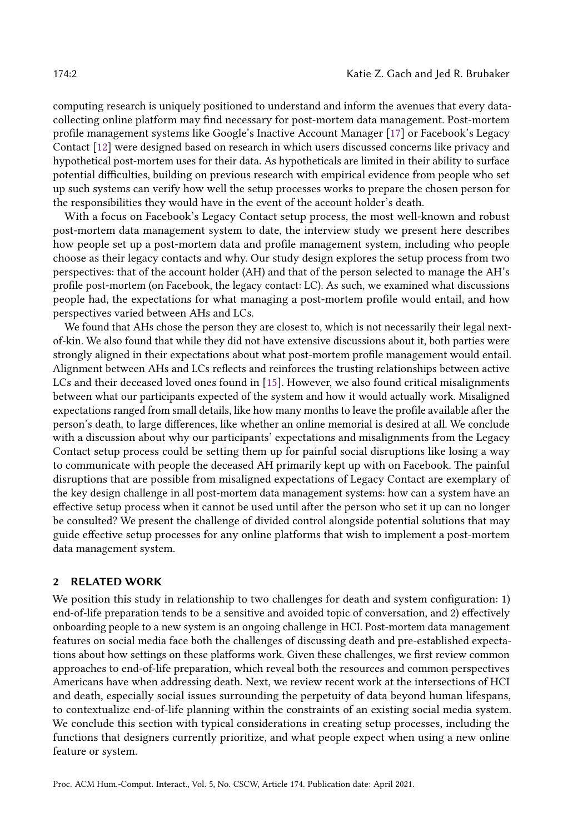computing research is uniquely positioned to understand and inform the avenues that every datacollecting online platform may find necessary for post-mortem data management. Post-mortem profile management systems like Google's Inactive Account Manager [\[17\]](#page-27-0) or Facebook's Legacy Contact [\[12\]](#page-27-1) were designed based on research in which users discussed concerns like privacy and hypothetical post-mortem uses for their data. As hypotheticals are limited in their ability to surface potential difficulties, building on previous research with empirical evidence from people who set up such systems can verify how well the setup processes works to prepare the chosen person for the responsibilities they would have in the event of the account holder's death.

With a focus on Facebook's Legacy Contact setup process, the most well-known and robust post-mortem data management system to date, the interview study we present here describes how people set up a post-mortem data and profile management system, including who people choose as their legacy contacts and why. Our study design explores the setup process from two perspectives: that of the account holder (AH) and that of the person selected to manage the AH's profile post-mortem (on Facebook, the legacy contact: LC). As such, we examined what discussions people had, the expectations for what managing a post-mortem profile would entail, and how perspectives varied between AHs and LCs.

We found that AHs chose the person they are closest to, which is not necessarily their legal nextof-kin. We also found that while they did not have extensive discussions about it, both parties were strongly aligned in their expectations about what post-mortem profile management would entail. Alignment between AHs and LCs reflects and reinforces the trusting relationships between active LCs and their deceased loved ones found in [\[15\]](#page-27-2). However, we also found critical misalignments between what our participants expected of the system and how it would actually work. Misaligned expectations ranged from small details, like how many months to leave the profile available after the person's death, to large differences, like whether an online memorial is desired at all. We conclude with a discussion about why our participants' expectations and misalignments from the Legacy Contact setup process could be setting them up for painful social disruptions like losing a way to communicate with people the deceased AH primarily kept up with on Facebook. The painful disruptions that are possible from misaligned expectations of Legacy Contact are exemplary of the key design challenge in all post-mortem data management systems: how can a system have an effective setup process when it cannot be used until after the person who set it up can no longer be consulted? We present the challenge of divided control alongside potential solutions that may guide effective setup processes for any online platforms that wish to implement a post-mortem data management system.

### 2 RELATED WORK

We position this study in relationship to two challenges for death and system configuration: 1) end-of-life preparation tends to be a sensitive and avoided topic of conversation, and 2) effectively onboarding people to a new system is an ongoing challenge in HCI. Post-mortem data management features on social media face both the challenges of discussing death and pre-established expectations about how settings on these platforms work. Given these challenges, we first review common approaches to end-of-life preparation, which reveal both the resources and common perspectives Americans have when addressing death. Next, we review recent work at the intersections of HCI and death, especially social issues surrounding the perpetuity of data beyond human lifespans, to contextualize end-of-life planning within the constraints of an existing social media system. We conclude this section with typical considerations in creating setup processes, including the functions that designers currently prioritize, and what people expect when using a new online feature or system.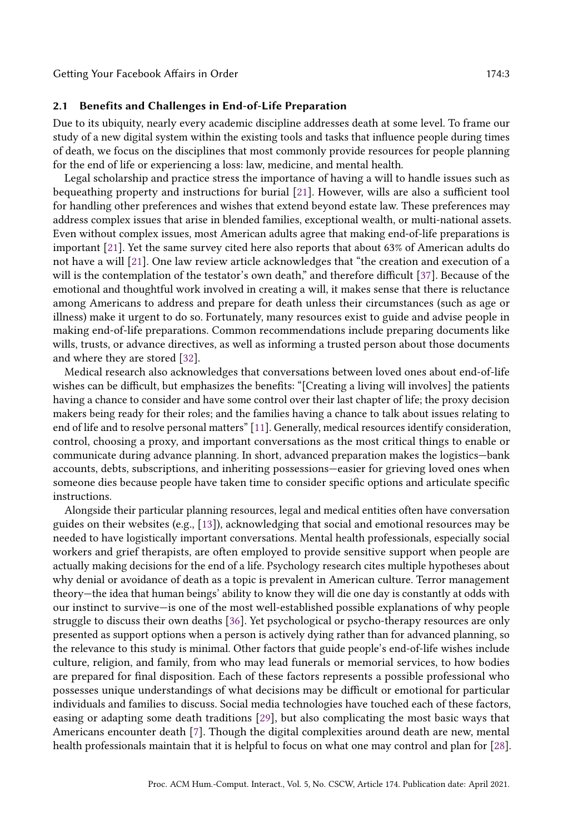#### <span id="page-2-0"></span>2.1 Benefits and Challenges in End-of-Life Preparation

Due to its ubiquity, nearly every academic discipline addresses death at some level. To frame our study of a new digital system within the existing tools and tasks that influence people during times of death, we focus on the disciplines that most commonly provide resources for people planning for the end of life or experiencing a loss: law, medicine, and mental health.

Legal scholarship and practice stress the importance of having a will to handle issues such as bequeathing property and instructions for burial [\[21\]](#page-27-3). However, wills are also a sufficient tool for handling other preferences and wishes that extend beyond estate law. These preferences may address complex issues that arise in blended families, exceptional wealth, or multi-national assets. Even without complex issues, most American adults agree that making end-of-life preparations is important [\[21\]](#page-27-3). Yet the same survey cited here also reports that about 63% of American adults do not have a will [\[21\]](#page-27-3). One law review article acknowledges that "the creation and execution of a will is the contemplation of the testator's own death," and therefore difficult [\[37\]](#page-28-1). Because of the emotional and thoughtful work involved in creating a will, it makes sense that there is reluctance among Americans to address and prepare for death unless their circumstances (such as age or illness) make it urgent to do so. Fortunately, many resources exist to guide and advise people in making end-of-life preparations. Common recommendations include preparing documents like wills, trusts, or advance directives, as well as informing a trusted person about those documents and where they are stored [\[32\]](#page-28-2).

Medical research also acknowledges that conversations between loved ones about end-of-life wishes can be difficult, but emphasizes the benefits: "[Creating a living will involves] the patients having a chance to consider and have some control over their last chapter of life; the proxy decision makers being ready for their roles; and the families having a chance to talk about issues relating to end of life and to resolve personal matters" [\[11\]](#page-27-4). Generally, medical resources identify consideration, control, choosing a proxy, and important conversations as the most critical things to enable or communicate during advance planning. In short, advanced preparation makes the logistics—bank accounts, debts, subscriptions, and inheriting possessions—easier for grieving loved ones when someone dies because people have taken time to consider specific options and articulate specific instructions.

Alongside their particular planning resources, legal and medical entities often have conversation guides on their websites (e.g., [\[13\]](#page-27-5)), acknowledging that social and emotional resources may be needed to have logistically important conversations. Mental health professionals, especially social workers and grief therapists, are often employed to provide sensitive support when people are actually making decisions for the end of a life. Psychology research cites multiple hypotheses about why denial or avoidance of death as a topic is prevalent in American culture. Terror management theory—the idea that human beings' ability to know they will die one day is constantly at odds with our instinct to survive—is one of the most well-established possible explanations of why people struggle to discuss their own deaths [\[36\]](#page-28-3). Yet psychological or psycho-therapy resources are only presented as support options when a person is actively dying rather than for advanced planning, so the relevance to this study is minimal. Other factors that guide people's end-of-life wishes include culture, religion, and family, from who may lead funerals or memorial services, to how bodies are prepared for final disposition. Each of these factors represents a possible professional who possesses unique understandings of what decisions may be difficult or emotional for particular individuals and families to discuss. Social media technologies have touched each of these factors, easing or adapting some death traditions [\[29\]](#page-27-6), but also complicating the most basic ways that Americans encounter death [\[7\]](#page-27-7). Though the digital complexities around death are new, mental health professionals maintain that it is helpful to focus on what one may control and plan for [\[28\]](#page-27-8).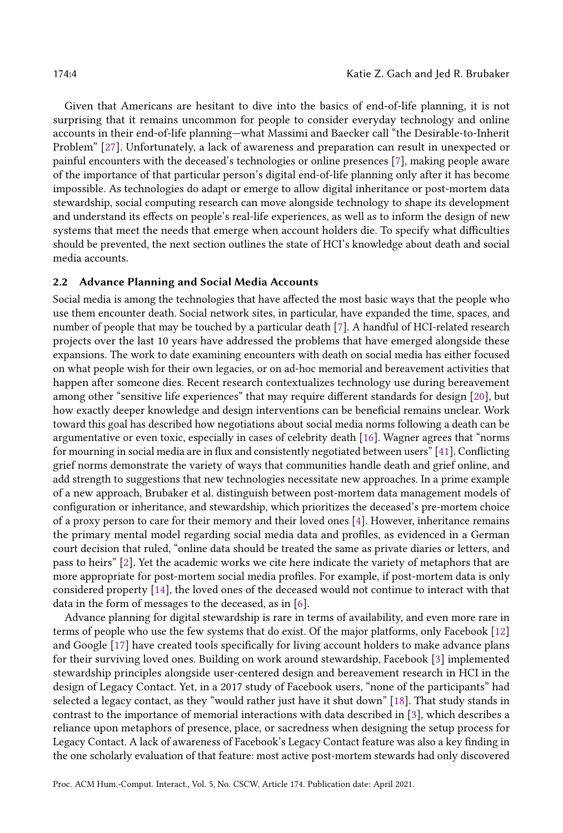Given that Americans are hesitant to dive into the basics of end-of-life planning, it is not surprising that it remains uncommon for people to consider everyday technology and online accounts in their end-of-life planning—what Massimi and Baecker call "the Desirable-to-Inherit Problem" [\[27\]](#page-27-9). Unfortunately, a lack of awareness and preparation can result in unexpected or painful encounters with the deceased's technologies or online presences [\[7\]](#page-27-7), making people aware of the importance of that particular person's digital end-of-life planning only after it has become impossible. As technologies do adapt or emerge to allow digital inheritance or post-mortem data stewardship, social computing research can move alongside technology to shape its development and understand its effects on people's real-life experiences, as well as to inform the design of new systems that meet the needs that emerge when account holders die. To specify what difficulties should be prevented, the next section outlines the state of HCI's knowledge about death and social media accounts.

#### <span id="page-3-0"></span>2.2 Advance Planning and Social Media Accounts

Social media is among the technologies that have affected the most basic ways that the people who use them encounter death. Social network sites, in particular, have expanded the time, spaces, and number of people that may be touched by a particular death [\[7\]](#page-27-7). A handful of HCI-related research projects over the last 10 years have addressed the problems that have emerged alongside these expansions. The work to date examining encounters with death on social media has either focused on what people wish for their own legacies, or on ad-hoc memorial and bereavement activities that happen after someone dies. Recent research contextualizes technology use during bereavement among other "sensitive life experiences" that may require different standards for design [\[20\]](#page-27-10), but how exactly deeper knowledge and design interventions can be beneficial remains unclear. Work toward this goal has described how negotiations about social media norms following a death can be argumentative or even toxic, especially in cases of celebrity death [\[16\]](#page-27-11). Wagner agrees that "norms for mourning in social media are in flux and consistently negotiated between users" [\[41\]](#page-28-4). Conflicting grief norms demonstrate the variety of ways that communities handle death and grief online, and add strength to suggestions that new technologies necessitate new approaches. In a prime example of a new approach, Brubaker et al. distinguish between post-mortem data management models of configuration or inheritance, and stewardship, which prioritizes the deceased's pre-mortem choice of a proxy person to care for their memory and their loved ones [\[4\]](#page-26-0). However, inheritance remains the primary mental model regarding social media data and profiles, as evidenced in a German court decision that ruled, "online data should be treated the same as private diaries or letters, and pass to heirs" [\[2\]](#page-26-1). Yet the academic works we cite here indicate the variety of metaphors that are more appropriate for post-mortem social media profiles. For example, if post-mortem data is only considered property [\[14\]](#page-27-12), the loved ones of the deceased would not continue to interact with that data in the form of messages to the deceased, as in [\[6\]](#page-27-13).

Advance planning for digital stewardship is rare in terms of availability, and even more rare in terms of people who use the few systems that do exist. Of the major platforms, only Facebook [\[12\]](#page-27-1) and Google [\[17\]](#page-27-0) have created tools specifically for living account holders to make advance plans for their surviving loved ones. Building on work around stewardship, Facebook [\[3\]](#page-26-2) implemented stewardship principles alongside user-centered design and bereavement research in HCI in the design of Legacy Contact. Yet, in a 2017 study of Facebook users, "none of the participants" had selected a legacy contact, as they "would rather just have it shut down" [\[18\]](#page-27-14). That study stands in contrast to the importance of memorial interactions with data described in [\[3\]](#page-26-2), which describes a reliance upon metaphors of presence, place, or sacredness when designing the setup process for Legacy Contact. A lack of awareness of Facebook's Legacy Contact feature was also a key finding in the one scholarly evaluation of that feature: most active post-mortem stewards had only discovered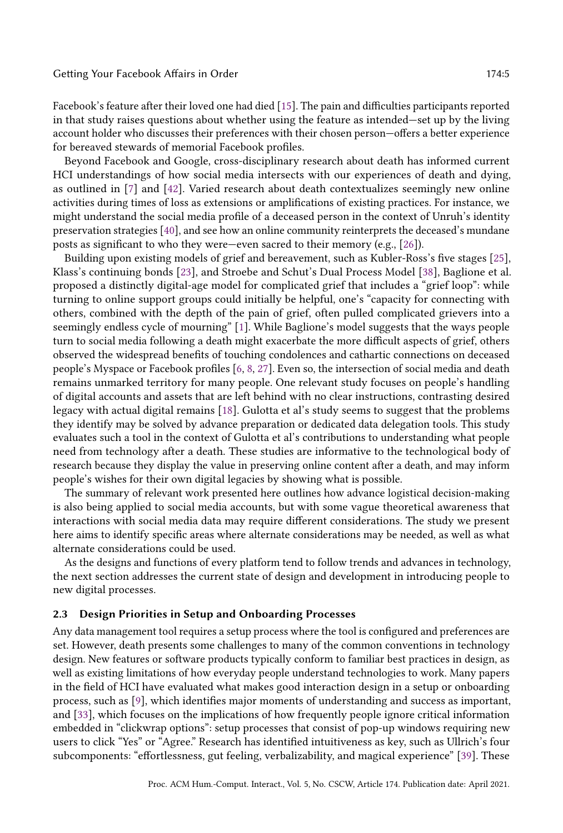Facebook's feature after their loved one had died [\[15\]](#page-27-2). The pain and difficulties participants reported in that study raises questions about whether using the feature as intended—set up by the living account holder who discusses their preferences with their chosen person—offers a better experience for bereaved stewards of memorial Facebook profiles.

Beyond Facebook and Google, cross-disciplinary research about death has informed current HCI understandings of how social media intersects with our experiences of death and dying, as outlined in [\[7\]](#page-27-7) and [\[42\]](#page-28-5). Varied research about death contextualizes seemingly new online activities during times of loss as extensions or amplifications of existing practices. For instance, we might understand the social media profile of a deceased person in the context of Unruh's identity preservation strategies [\[40\]](#page-28-6), and see how an online community reinterprets the deceased's mundane posts as significant to who they were—even sacred to their memory (e.g., [\[26\]](#page-27-15)).

Building upon existing models of grief and bereavement, such as Kubler-Ross's five stages [\[25\]](#page-27-16), Klass's continuing bonds [\[23\]](#page-27-17), and Stroebe and Schut's Dual Process Model [\[38\]](#page-28-7), Baglione et al. proposed a distinctly digital-age model for complicated grief that includes a "grief loop": while turning to online support groups could initially be helpful, one's "capacity for connecting with others, combined with the depth of the pain of grief, often pulled complicated grievers into a seemingly endless cycle of mourning" [\[1\]](#page-26-3). While Baglione's model suggests that the ways people turn to social media following a death might exacerbate the more difficult aspects of grief, others observed the widespread benefits of touching condolences and cathartic connections on deceased people's Myspace or Facebook profiles [\[6,](#page-27-13) [8,](#page-27-18) [27\]](#page-27-9). Even so, the intersection of social media and death remains unmarked territory for many people. One relevant study focuses on people's handling of digital accounts and assets that are left behind with no clear instructions, contrasting desired legacy with actual digital remains [\[18\]](#page-27-14). Gulotta et al's study seems to suggest that the problems they identify may be solved by advance preparation or dedicated data delegation tools. This study evaluates such a tool in the context of Gulotta et al's contributions to understanding what people need from technology after a death. These studies are informative to the technological body of research because they display the value in preserving online content after a death, and may inform people's wishes for their own digital legacies by showing what is possible.

The summary of relevant work presented here outlines how advance logistical decision-making is also being applied to social media accounts, but with some vague theoretical awareness that interactions with social media data may require different considerations. The study we present here aims to identify specific areas where alternate considerations may be needed, as well as what alternate considerations could be used.

As the designs and functions of every platform tend to follow trends and advances in technology, the next section addresses the current state of design and development in introducing people to new digital processes.

#### 2.3 Design Priorities in Setup and Onboarding Processes

Any data management tool requires a setup process where the tool is configured and preferences are set. However, death presents some challenges to many of the common conventions in technology design. New features or software products typically conform to familiar best practices in design, as well as existing limitations of how everyday people understand technologies to work. Many papers in the field of HCI have evaluated what makes good interaction design in a setup or onboarding process, such as [\[9\]](#page-27-19), which identifies major moments of understanding and success as important, and [\[33\]](#page-28-8), which focuses on the implications of how frequently people ignore critical information embedded in "clickwrap options": setup processes that consist of pop-up windows requiring new users to click "Yes" or "Agree." Research has identified intuitiveness as key, such as Ullrich's four subcomponents: "effortlessness, gut feeling, verbalizability, and magical experience" [\[39\]](#page-28-9). These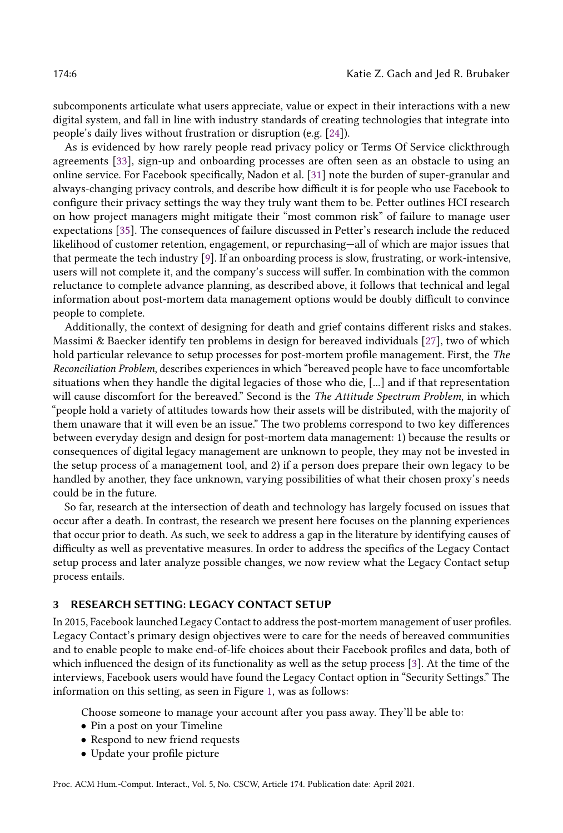subcomponents articulate what users appreciate, value or expect in their interactions with a new digital system, and fall in line with industry standards of creating technologies that integrate into people's daily lives without frustration or disruption (e.g. [\[24\]](#page-27-20)).

As is evidenced by how rarely people read privacy policy or Terms Of Service clickthrough agreements [\[33\]](#page-28-8), sign-up and onboarding processes are often seen as an obstacle to using an online service. For Facebook specifically, Nadon et al. [\[31\]](#page-27-21) note the burden of super-granular and always-changing privacy controls, and describe how difficult it is for people who use Facebook to configure their privacy settings the way they truly want them to be. Petter outlines HCI research on how project managers might mitigate their "most common risk" of failure to manage user expectations [\[35\]](#page-28-10). The consequences of failure discussed in Petter's research include the reduced likelihood of customer retention, engagement, or repurchasing—all of which are major issues that that permeate the tech industry [\[9\]](#page-27-19). If an onboarding process is slow, frustrating, or work-intensive, users will not complete it, and the company's success will suffer. In combination with the common reluctance to complete advance planning, as described above, it follows that technical and legal information about post-mortem data management options would be doubly difficult to convince people to complete.

Additionally, the context of designing for death and grief contains different risks and stakes. Massimi & Baecker identify ten problems in design for bereaved individuals [\[27\]](#page-27-9), two of which hold particular relevance to setup processes for post-mortem profile management. First, the The Reconciliation Problem, describes experiences in which "bereaved people have to face uncomfortable situations when they handle the digital legacies of those who die, [...] and if that representation will cause discomfort for the bereaved." Second is the The Attitude Spectrum Problem, in which "people hold a variety of attitudes towards how their assets will be distributed, with the majority of them unaware that it will even be an issue." The two problems correspond to two key differences between everyday design and design for post-mortem data management: 1) because the results or consequences of digital legacy management are unknown to people, they may not be invested in the setup process of a management tool, and 2) if a person does prepare their own legacy to be handled by another, they face unknown, varying possibilities of what their chosen proxy's needs could be in the future.

So far, research at the intersection of death and technology has largely focused on issues that occur after a death. In contrast, the research we present here focuses on the planning experiences that occur prior to death. As such, we seek to address a gap in the literature by identifying causes of difficulty as well as preventative measures. In order to address the specifics of the Legacy Contact setup process and later analyze possible changes, we now review what the Legacy Contact setup process entails.

#### <span id="page-5-0"></span>3 RESEARCH SETTING: LEGACY CONTACT SETUP

In 2015, Facebook launched Legacy Contact to address the post-mortem management of user profiles. Legacy Contact's primary design objectives were to care for the needs of bereaved communities and to enable people to make end-of-life choices about their Facebook profiles and data, both of which influenced the design of its functionality as well as the setup process [\[3\]](#page-26-2). At the time of the interviews, Facebook users would have found the Legacy Contact option in "Security Settings." The information on this setting, as seen in Figure [1,](#page-6-0) was as follows:

Choose someone to manage your account after you pass away. They'll be able to:

- Pin a post on your Timeline
- Respond to new friend requests
- Update your profile picture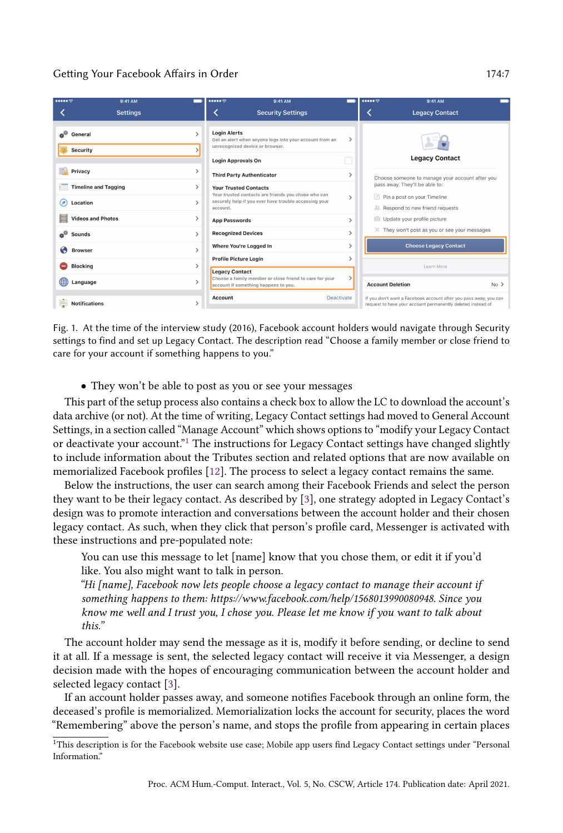<span id="page-6-0"></span>

|                                                | 9:41 AM<br><b>Settings</b> | $\bullet \bullet \bullet \bullet \mathbin{\widehat{\otimes}}$<br>9:41 AM<br><b>Security Settings</b>                                                     |               | $\bullet \bullet \bullet \bullet \circ \circ$                                                   | 9:41 AM<br><b>Legacy Contact</b>                                                                                                 |
|------------------------------------------------|----------------------------|----------------------------------------------------------------------------------------------------------------------------------------------------------|---------------|-------------------------------------------------------------------------------------------------|----------------------------------------------------------------------------------------------------------------------------------|
| a <sup>gh</sup><br>General<br>Security         |                            | <b>Login Alerts</b><br>Get an alert when anyone logs into your account from an<br>unrecognized device or browser.<br><b>Login Approvals On</b>           | ⋗             |                                                                                                 | <b>Legacy Contact</b>                                                                                                            |
| Privacy                                        |                            | <b>Third Party Authenticator</b>                                                                                                                         |               |                                                                                                 | Choose someone to manage your account after you                                                                                  |
| <b>Timeline and Tagging</b><br>Location<br>(ø) |                            | <b>Your Trusted Contacts</b><br>Your trusted contacts are friends you chose who can<br>securely help if you ever have trouble accessing your<br>account. | $\mathcal{P}$ | pass away. They'll be able to:<br>Pin a post on your Timeline<br>Respond to new friend requests |                                                                                                                                  |
| <b>Videos and Photos</b>                       |                            | <b>App Passwords</b>                                                                                                                                     | $\mathcal{P}$ | Update your profile picture                                                                     |                                                                                                                                  |
| a <sup>g.</sup><br><b>Sounds</b>               |                            | <b>Recognized Devices</b>                                                                                                                                |               |                                                                                                 | X They won't post as you or see your messages                                                                                    |
| Q<br><b>Browser</b>                            |                            | Where You're Logged In                                                                                                                                   |               |                                                                                                 | <b>Choose Legacy Contact</b>                                                                                                     |
| <b>Blocking</b>                                | ↘                          | <b>Profile Picture Login</b>                                                                                                                             |               |                                                                                                 | Learn More                                                                                                                       |
| ∰<br>Language                                  |                            | <b>Legacy Contact</b><br>Choose a family member or close friend to care for your<br>account if something happens to you.                                 |               | <b>Account Deletion</b>                                                                         | $No$ >                                                                                                                           |
| <b>Notifications</b>                           |                            | Account                                                                                                                                                  | Deactivate    |                                                                                                 | If you don't want a Facebook account after you pass away, you can<br>request to have your account permanently deleted instead of |

Fig. 1. At the time of the interview study (2016), Facebook account holders would navigate through Security settings to find and set up Legacy Contact. The description read "Choose a family member or close friend to care for your account if something happens to you."

• They won't be able to post as you or see your messages

This part of the setup process also contains a check box to allow the LC to download the account's data archive (or not). At the time of writing, Legacy Contact settings had moved to General Account Settings, in a section called "Manage Account" which shows options to "modify your Legacy Contact or deactivate your account."<sup>[1](#page-6-1)</sup> The instructions for Legacy Contact settings have changed slightly to include information about the Tributes section and related options that are now available on memorialized Facebook profiles [\[12\]](#page-27-1). The process to select a legacy contact remains the same.

Below the instructions, the user can search among their Facebook Friends and select the person they want to be their legacy contact. As described by [\[3\]](#page-26-2), one strategy adopted in Legacy Contact's design was to promote interaction and conversations between the account holder and their chosen legacy contact. As such, when they click that person's profile card, Messenger is activated with these instructions and pre-populated note:

You can use this message to let [name] know that you chose them, or edit it if you'd like. You also might want to talk in person.

"Hi [name], Facebook now lets people choose a legacy contact to manage their account if something happens to them: https://www.facebook.com/help/1568013990080948. Since you know me well and I trust you, I chose you. Please let me know if you want to talk about this."

The account holder may send the message as it is, modify it before sending, or decline to send it at all. If a message is sent, the selected legacy contact will receive it via Messenger, a design decision made with the hopes of encouraging communication between the account holder and selected legacy contact [\[3\]](#page-26-2).

If an account holder passes away, and someone notifies Facebook through an online form, the deceased's profile is memorialized. Memorialization locks the account for security, places the word "Remembering" above the person's name, and stops the profile from appearing in certain places

<span id="page-6-1"></span><sup>&</sup>lt;sup>1</sup>This description is for the Facebook website use case; Mobile app users find Legacy Contact settings under "Personal Information."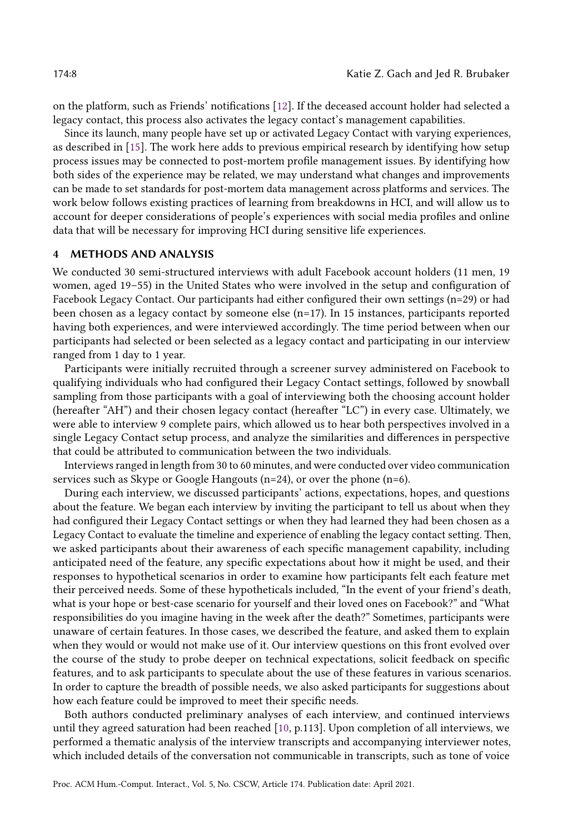on the platform, such as Friends' notifications [\[12\]](#page-27-1). If the deceased account holder had selected a legacy contact, this process also activates the legacy contact's management capabilities.

Since its launch, many people have set up or activated Legacy Contact with varying experiences, as described in [\[15\]](#page-27-2). The work here adds to previous empirical research by identifying how setup process issues may be connected to post-mortem profile management issues. By identifying how both sides of the experience may be related, we may understand what changes and improvements can be made to set standards for post-mortem data management across platforms and services. The work below follows existing practices of learning from breakdowns in HCI, and will allow us to account for deeper considerations of people's experiences with social media profiles and online data that will be necessary for improving HCI during sensitive life experiences.

#### 4 METHODS AND ANALYSIS

We conducted 30 semi-structured interviews with adult Facebook account holders (11 men, 19 women, aged 19–55) in the United States who were involved in the setup and configuration of Facebook Legacy Contact. Our participants had either configured their own settings (n=29) or had been chosen as a legacy contact by someone else  $(n=17)$ . In 15 instances, participants reported having both experiences, and were interviewed accordingly. The time period between when our participants had selected or been selected as a legacy contact and participating in our interview ranged from 1 day to 1 year.

Participants were initially recruited through a screener survey administered on Facebook to qualifying individuals who had configured their Legacy Contact settings, followed by snowball sampling from those participants with a goal of interviewing both the choosing account holder (hereafter "AH") and their chosen legacy contact (hereafter "LC") in every case. Ultimately, we were able to interview 9 complete pairs, which allowed us to hear both perspectives involved in a single Legacy Contact setup process, and analyze the similarities and differences in perspective that could be attributed to communication between the two individuals.

Interviews ranged in length from 30 to 60 minutes, and were conducted over video communication services such as Skype or Google Hangouts (n=24), or over the phone (n=6).

During each interview, we discussed participants' actions, expectations, hopes, and questions about the feature. We began each interview by inviting the participant to tell us about when they had configured their Legacy Contact settings or when they had learned they had been chosen as a Legacy Contact to evaluate the timeline and experience of enabling the legacy contact setting. Then, we asked participants about their awareness of each specific management capability, including anticipated need of the feature, any specific expectations about how it might be used, and their responses to hypothetical scenarios in order to examine how participants felt each feature met their perceived needs. Some of these hypotheticals included, "In the event of your friend's death, what is your hope or best-case scenario for yourself and their loved ones on Facebook?" and "What responsibilities do you imagine having in the week after the death?" Sometimes, participants were unaware of certain features. In those cases, we described the feature, and asked them to explain when they would or would not make use of it. Our interview questions on this front evolved over the course of the study to probe deeper on technical expectations, solicit feedback on specific features, and to ask participants to speculate about the use of these features in various scenarios. In order to capture the breadth of possible needs, we also asked participants for suggestions about how each feature could be improved to meet their specific needs.

Both authors conducted preliminary analyses of each interview, and continued interviews until they agreed saturation had been reached [\[10,](#page-27-22) p.113]. Upon completion of all interviews, we performed a thematic analysis of the interview transcripts and accompanying interviewer notes, which included details of the conversation not communicable in transcripts, such as tone of voice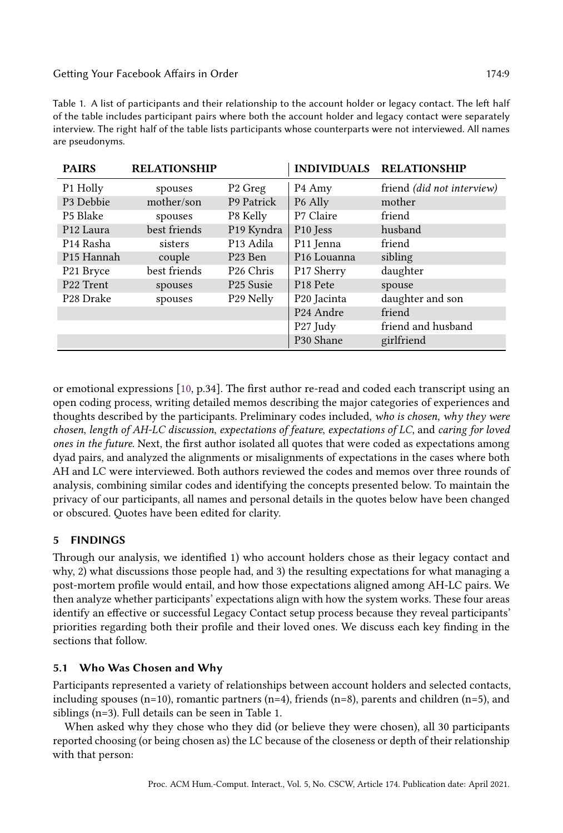Table 1. A list of participants and their relationship to the account holder or legacy contact. The left half of the table includes participant pairs where both the account holder and legacy contact were separately interview. The right half of the table lists participants whose counterparts were not interviewed. All names are pseudonyms.

| <b>PAIRS</b>           | <b>RELATIONSHIP</b> |                       |                         | INDIVIDUALS RELATIONSHIP   |
|------------------------|---------------------|-----------------------|-------------------------|----------------------------|
| P1 Holly               | spouses             | P <sub>2</sub> Greg   | P <sub>4</sub> Amy      | friend (did not interview) |
| P3 Debbie              | mother/son          | P9 Patrick            | P <sub>6</sub> Ally     | mother                     |
| P5 Blake               | spouses             | P8 Kelly              | P7 Claire               | friend                     |
| P <sub>12</sub> Laura  | best friends        | P19 Kyndra            | P <sub>10</sub> Jess    | husband                    |
| P <sub>14</sub> Rasha  | sisters             | P <sub>13</sub> Adila | P <sub>11</sub> Jenna   | friend                     |
| P <sub>15</sub> Hannah | couple              | P <sub>23</sub> Ben   | P <sub>16</sub> Louanna | sibling                    |
| P21 Bryce              | best friends        | P <sub>26</sub> Chris | P17 Sherry              | daughter                   |
| P <sub>22</sub> Trent  | spouses             | P <sub>25</sub> Susie | P <sub>18</sub> Pete    | spouse                     |
| P <sub>28</sub> Drake  | spouses             | P29 Nelly             | P <sub>20</sub> Jacinta | daughter and son           |
|                        |                     |                       | P <sub>24</sub> Andre   | friend                     |
|                        |                     |                       | P27 Judy                | friend and husband         |
|                        |                     |                       | P30 Shane               | girlfriend                 |

or emotional expressions [\[10,](#page-27-22) p.34]. The first author re-read and coded each transcript using an open coding process, writing detailed memos describing the major categories of experiences and thoughts described by the participants. Preliminary codes included, who is chosen, why they were chosen, length of AH-LC discussion, expectations of feature, expectations of LC, and caring for loved ones in the future. Next, the first author isolated all quotes that were coded as expectations among dyad pairs, and analyzed the alignments or misalignments of expectations in the cases where both AH and LC were interviewed. Both authors reviewed the codes and memos over three rounds of analysis, combining similar codes and identifying the concepts presented below. To maintain the privacy of our participants, all names and personal details in the quotes below have been changed or obscured. Quotes have been edited for clarity.

# 5 FINDINGS

Through our analysis, we identified 1) who account holders chose as their legacy contact and why, 2) what discussions those people had, and 3) the resulting expectations for what managing a post-mortem profile would entail, and how those expectations aligned among AH-LC pairs. We then analyze whether participants' expectations align with how the system works. These four areas identify an effective or successful Legacy Contact setup process because they reveal participants' priorities regarding both their profile and their loved ones. We discuss each key finding in the sections that follow.

# 5.1 Who Was Chosen and Why

Participants represented a variety of relationships between account holders and selected contacts, including spouses (n=10), romantic partners (n=4), friends (n=8), parents and children (n=5), and siblings (n=3). Full details can be seen in Table 1.

When asked why they chose who they did (or believe they were chosen), all 30 participants reported choosing (or being chosen as) the LC because of the closeness or depth of their relationship with that person: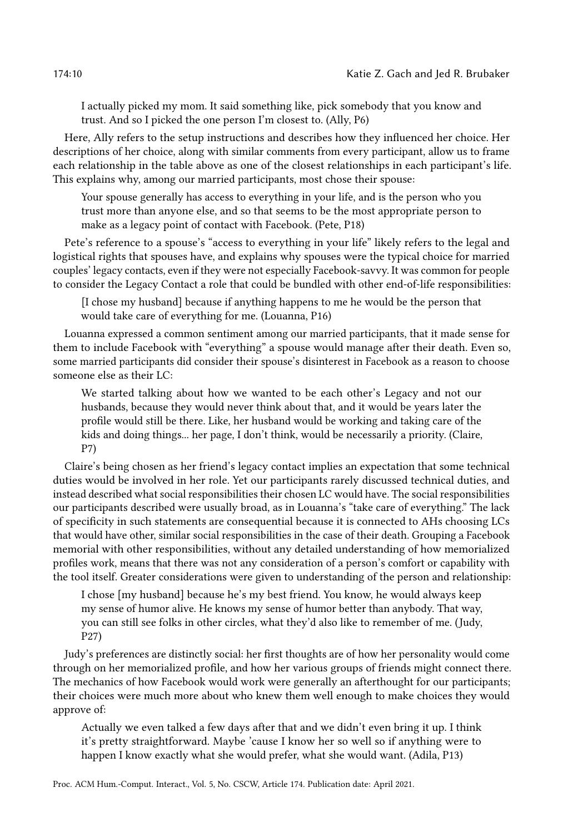I actually picked my mom. It said something like, pick somebody that you know and trust. And so I picked the one person I'm closest to. (Ally, P6)

Here, Ally refers to the setup instructions and describes how they influenced her choice. Her descriptions of her choice, along with similar comments from every participant, allow us to frame each relationship in the table above as one of the closest relationships in each participant's life. This explains why, among our married participants, most chose their spouse:

Your spouse generally has access to everything in your life, and is the person who you trust more than anyone else, and so that seems to be the most appropriate person to make as a legacy point of contact with Facebook. (Pete, P18)

Pete's reference to a spouse's "access to everything in your life" likely refers to the legal and logistical rights that spouses have, and explains why spouses were the typical choice for married couples' legacy contacts, even if they were not especially Facebook-savvy. It was common for people to consider the Legacy Contact a role that could be bundled with other end-of-life responsibilities:

[I chose my husband] because if anything happens to me he would be the person that would take care of everything for me. (Louanna, P16)

Louanna expressed a common sentiment among our married participants, that it made sense for them to include Facebook with "everything" a spouse would manage after their death. Even so, some married participants did consider their spouse's disinterest in Facebook as a reason to choose someone else as their LC:

We started talking about how we wanted to be each other's Legacy and not our husbands, because they would never think about that, and it would be years later the profile would still be there. Like, her husband would be working and taking care of the kids and doing things... her page, I don't think, would be necessarily a priority. (Claire, P7)

Claire's being chosen as her friend's legacy contact implies an expectation that some technical duties would be involved in her role. Yet our participants rarely discussed technical duties, and instead described what social responsibilities their chosen LC would have. The social responsibilities our participants described were usually broad, as in Louanna's "take care of everything." The lack of specificity in such statements are consequential because it is connected to AHs choosing LCs that would have other, similar social responsibilities in the case of their death. Grouping a Facebook memorial with other responsibilities, without any detailed understanding of how memorialized profiles work, means that there was not any consideration of a person's comfort or capability with the tool itself. Greater considerations were given to understanding of the person and relationship:

I chose [my husband] because he's my best friend. You know, he would always keep my sense of humor alive. He knows my sense of humor better than anybody. That way, you can still see folks in other circles, what they'd also like to remember of me. (Judy, P27)

Judy's preferences are distinctly social: her first thoughts are of how her personality would come through on her memorialized profile, and how her various groups of friends might connect there. The mechanics of how Facebook would work were generally an afterthought for our participants; their choices were much more about who knew them well enough to make choices they would approve of:

Actually we even talked a few days after that and we didn't even bring it up. I think it's pretty straightforward. Maybe 'cause I know her so well so if anything were to happen I know exactly what she would prefer, what she would want. (Adila, P13)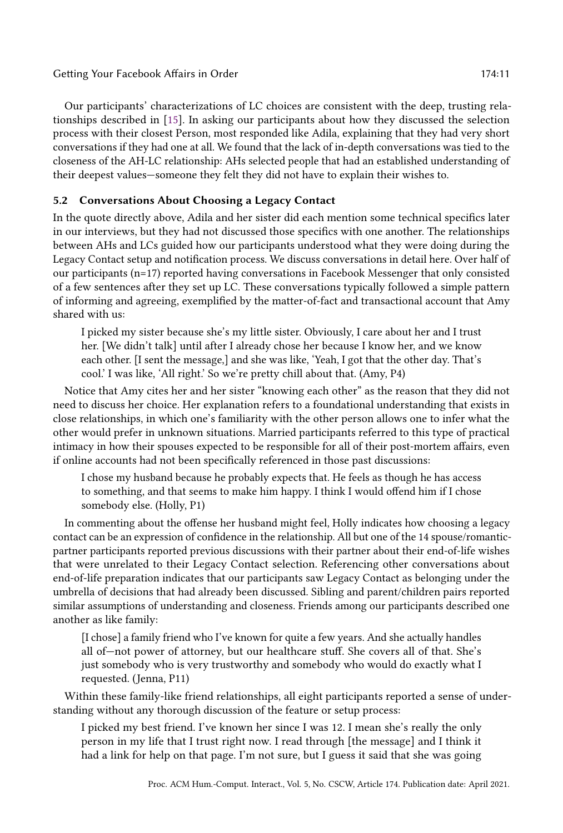Our participants' characterizations of LC choices are consistent with the deep, trusting relationships described in [\[15\]](#page-27-2). In asking our participants about how they discussed the selection process with their closest Person, most responded like Adila, explaining that they had very short conversations if they had one at all. We found that the lack of in-depth conversations was tied to the closeness of the AH-LC relationship: AHs selected people that had an established understanding of their deepest values—someone they felt they did not have to explain their wishes to.

# 5.2 Conversations About Choosing a Legacy Contact

In the quote directly above, Adila and her sister did each mention some technical specifics later in our interviews, but they had not discussed those specifics with one another. The relationships between AHs and LCs guided how our participants understood what they were doing during the Legacy Contact setup and notification process. We discuss conversations in detail here. Over half of our participants (n=17) reported having conversations in Facebook Messenger that only consisted of a few sentences after they set up LC. These conversations typically followed a simple pattern of informing and agreeing, exemplified by the matter-of-fact and transactional account that Amy shared with us:

I picked my sister because she's my little sister. Obviously, I care about her and I trust her. [We didn't talk] until after I already chose her because I know her, and we know each other. [I sent the message,] and she was like, 'Yeah, I got that the other day. That's cool.' I was like, 'All right.' So we're pretty chill about that. (Amy, P4)

Notice that Amy cites her and her sister "knowing each other" as the reason that they did not need to discuss her choice. Her explanation refers to a foundational understanding that exists in close relationships, in which one's familiarity with the other person allows one to infer what the other would prefer in unknown situations. Married participants referred to this type of practical intimacy in how their spouses expected to be responsible for all of their post-mortem affairs, even if online accounts had not been specifically referenced in those past discussions:

I chose my husband because he probably expects that. He feels as though he has access to something, and that seems to make him happy. I think I would offend him if I chose somebody else. (Holly, P1)

In commenting about the offense her husband might feel, Holly indicates how choosing a legacy contact can be an expression of confidence in the relationship. All but one of the 14 spouse/romanticpartner participants reported previous discussions with their partner about their end-of-life wishes that were unrelated to their Legacy Contact selection. Referencing other conversations about end-of-life preparation indicates that our participants saw Legacy Contact as belonging under the umbrella of decisions that had already been discussed. Sibling and parent/children pairs reported similar assumptions of understanding and closeness. Friends among our participants described one another as like family:

[I chose] a family friend who I've known for quite a few years. And she actually handles all of—not power of attorney, but our healthcare stuff. She covers all of that. She's just somebody who is very trustworthy and somebody who would do exactly what I requested. (Jenna, P11)

Within these family-like friend relationships, all eight participants reported a sense of understanding without any thorough discussion of the feature or setup process:

I picked my best friend. I've known her since I was 12. I mean she's really the only person in my life that I trust right now. I read through [the message] and I think it had a link for help on that page. I'm not sure, but I guess it said that she was going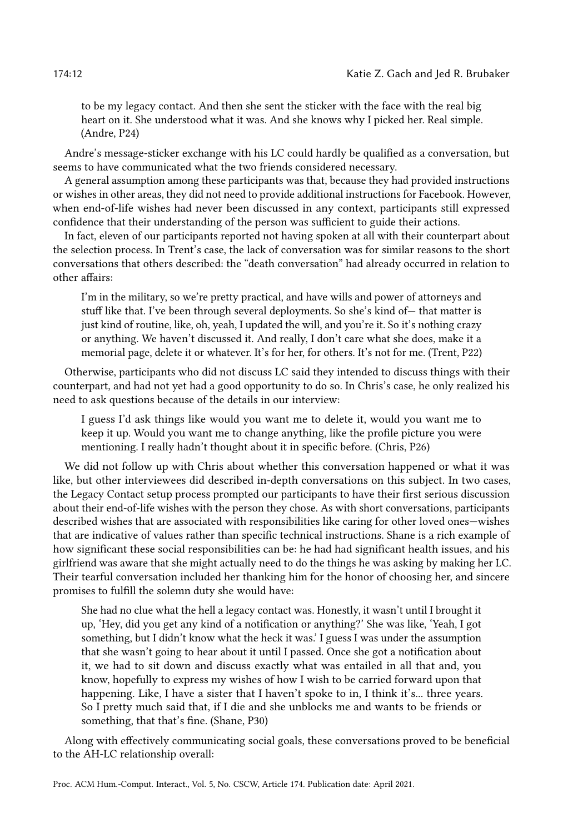to be my legacy contact. And then she sent the sticker with the face with the real big heart on it. She understood what it was. And she knows why I picked her. Real simple. (Andre, P24)

Andre's message-sticker exchange with his LC could hardly be qualified as a conversation, but seems to have communicated what the two friends considered necessary.

A general assumption among these participants was that, because they had provided instructions or wishes in other areas, they did not need to provide additional instructions for Facebook. However, when end-of-life wishes had never been discussed in any context, participants still expressed confidence that their understanding of the person was sufficient to guide their actions.

In fact, eleven of our participants reported not having spoken at all with their counterpart about the selection process. In Trent's case, the lack of conversation was for similar reasons to the short conversations that others described: the "death conversation" had already occurred in relation to other affairs:

I'm in the military, so we're pretty practical, and have wills and power of attorneys and stuff like that. I've been through several deployments. So she's kind of— that matter is just kind of routine, like, oh, yeah, I updated the will, and you're it. So it's nothing crazy or anything. We haven't discussed it. And really, I don't care what she does, make it a memorial page, delete it or whatever. It's for her, for others. It's not for me. (Trent, P22)

Otherwise, participants who did not discuss LC said they intended to discuss things with their counterpart, and had not yet had a good opportunity to do so. In Chris's case, he only realized his need to ask questions because of the details in our interview:

I guess I'd ask things like would you want me to delete it, would you want me to keep it up. Would you want me to change anything, like the profile picture you were mentioning. I really hadn't thought about it in specific before. (Chris, P26)

We did not follow up with Chris about whether this conversation happened or what it was like, but other interviewees did described in-depth conversations on this subject. In two cases, the Legacy Contact setup process prompted our participants to have their first serious discussion about their end-of-life wishes with the person they chose. As with short conversations, participants described wishes that are associated with responsibilities like caring for other loved ones—wishes that are indicative of values rather than specific technical instructions. Shane is a rich example of how significant these social responsibilities can be: he had had significant health issues, and his girlfriend was aware that she might actually need to do the things he was asking by making her LC. Their tearful conversation included her thanking him for the honor of choosing her, and sincere promises to fulfill the solemn duty she would have:

She had no clue what the hell a legacy contact was. Honestly, it wasn't until I brought it up, 'Hey, did you get any kind of a notification or anything?' She was like, 'Yeah, I got something, but I didn't know what the heck it was.' I guess I was under the assumption that she wasn't going to hear about it until I passed. Once she got a notification about it, we had to sit down and discuss exactly what was entailed in all that and, you know, hopefully to express my wishes of how I wish to be carried forward upon that happening. Like, I have a sister that I haven't spoke to in, I think it's... three years. So I pretty much said that, if I die and she unblocks me and wants to be friends or something, that that's fine. (Shane, P30)

Along with effectively communicating social goals, these conversations proved to be beneficial to the AH-LC relationship overall: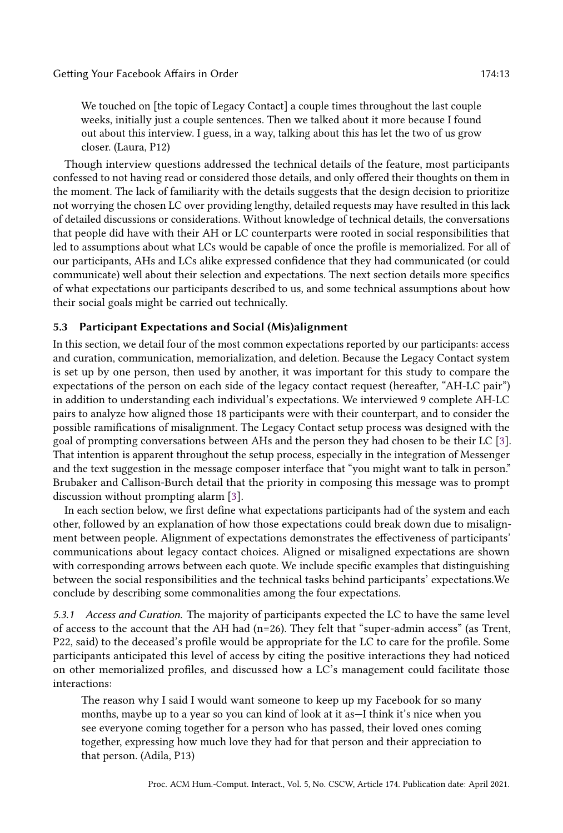We touched on [the topic of Legacy Contact] a couple times throughout the last couple weeks, initially just a couple sentences. Then we talked about it more because I found out about this interview. I guess, in a way, talking about this has let the two of us grow closer. (Laura, P12)

Though interview questions addressed the technical details of the feature, most participants confessed to not having read or considered those details, and only offered their thoughts on them in the moment. The lack of familiarity with the details suggests that the design decision to prioritize not worrying the chosen LC over providing lengthy, detailed requests may have resulted in this lack of detailed discussions or considerations. Without knowledge of technical details, the conversations that people did have with their AH or LC counterparts were rooted in social responsibilities that led to assumptions about what LCs would be capable of once the profile is memorialized. For all of our participants, AHs and LCs alike expressed confidence that they had communicated (or could communicate) well about their selection and expectations. The next section details more specifics of what expectations our participants described to us, and some technical assumptions about how their social goals might be carried out technically.

#### <span id="page-12-0"></span>5.3 Participant Expectations and Social (Mis)alignment

In this section, we detail four of the most common expectations reported by our participants: access and curation, communication, memorialization, and deletion. Because the Legacy Contact system is set up by one person, then used by another, it was important for this study to compare the expectations of the person on each side of the legacy contact request (hereafter, "AH-LC pair") in addition to understanding each individual's expectations. We interviewed 9 complete AH-LC pairs to analyze how aligned those 18 participants were with their counterpart, and to consider the possible ramifications of misalignment. The Legacy Contact setup process was designed with the goal of prompting conversations between AHs and the person they had chosen to be their LC [\[3\]](#page-26-2). That intention is apparent throughout the setup process, especially in the integration of Messenger and the text suggestion in the message composer interface that "you might want to talk in person." Brubaker and Callison-Burch detail that the priority in composing this message was to prompt discussion without prompting alarm [\[3\]](#page-26-2).

In each section below, we first define what expectations participants had of the system and each other, followed by an explanation of how those expectations could break down due to misalignment between people. Alignment of expectations demonstrates the effectiveness of participants' communications about legacy contact choices. Aligned or misaligned expectations are shown with corresponding arrows between each quote. We include specific examples that distinguishing between the social responsibilities and the technical tasks behind participants' expectations.We conclude by describing some commonalities among the four expectations.

5.3.1 Access and Curation. The majority of participants expected the LC to have the same level of access to the account that the AH had (n=26). They felt that "super-admin access" (as Trent, P22, said) to the deceased's profile would be appropriate for the LC to care for the profile. Some participants anticipated this level of access by citing the positive interactions they had noticed on other memorialized profiles, and discussed how a LC's management could facilitate those interactions:

The reason why I said I would want someone to keep up my Facebook for so many months, maybe up to a year so you can kind of look at it as—I think it's nice when you see everyone coming together for a person who has passed, their loved ones coming together, expressing how much love they had for that person and their appreciation to that person. (Adila, P13)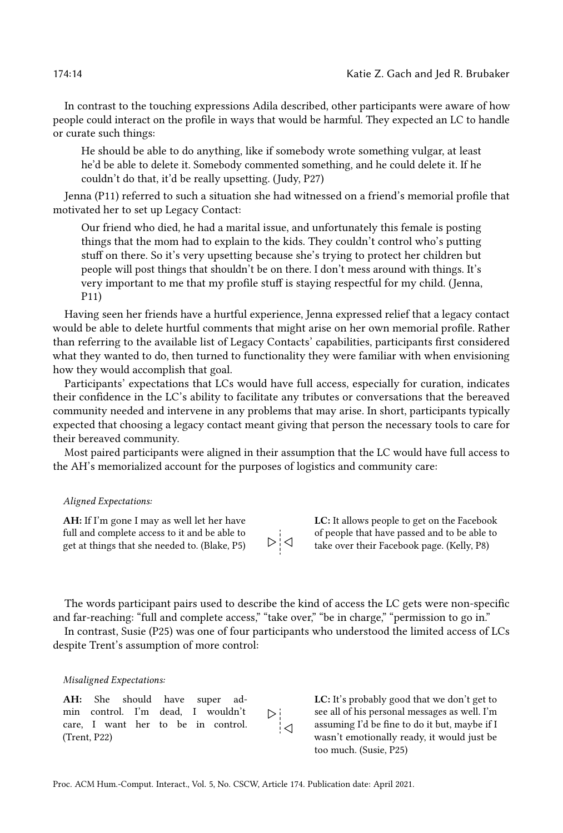In contrast to the touching expressions Adila described, other participants were aware of how people could interact on the profile in ways that would be harmful. They expected an LC to handle or curate such things:

He should be able to do anything, like if somebody wrote something vulgar, at least he'd be able to delete it. Somebody commented something, and he could delete it. If he couldn't do that, it'd be really upsetting. (Judy, P27)

Jenna (P11) referred to such a situation she had witnessed on a friend's memorial profile that motivated her to set up Legacy Contact:

Our friend who died, he had a marital issue, and unfortunately this female is posting things that the mom had to explain to the kids. They couldn't control who's putting stuff on there. So it's very upsetting because she's trying to protect her children but people will post things that shouldn't be on there. I don't mess around with things. It's very important to me that my profile stuff is staying respectful for my child. (Jenna, P11)

Having seen her friends have a hurtful experience, Jenna expressed relief that a legacy contact would be able to delete hurtful comments that might arise on her own memorial profile. Rather than referring to the available list of Legacy Contacts' capabilities, participants first considered what they wanted to do, then turned to functionality they were familiar with when envisioning how they would accomplish that goal.

Participants' expectations that LCs would have full access, especially for curation, indicates their confidence in the LC's ability to facilitate any tributes or conversations that the bereaved community needed and intervene in any problems that may arise. In short, participants typically expected that choosing a legacy contact meant giving that person the necessary tools to care for their bereaved community.

Most paired participants were aligned in their assumption that the LC would have full access to the AH's memorialized account for the purposes of logistics and community care:

#### Aligned Expectations:

AH: If I'm gone I may as well let her have full and complete access to it and be able to get at things that she needed to. (Blake, P5)

```
\triangleright \stackrel{.}{\mid} \triangleleft
```
LC: It allows people to get on the Facebook of people that have passed and to be able to take over their Facebook page. (Kelly, P8)

The words participant pairs used to describe the kind of access the LC gets were non-specific and far-reaching: "full and complete access," "take over," "be in charge," "permission to go in."

In contrast, Susie (P25) was one of four participants who understood the limited access of LCs despite Trent's assumption of more control:

#### Misaligned Expectations:

AH: She should have super admin control. I'm dead, I wouldn't ⊳¦ care, I want her to be in control. ¦⊲ (Trent, P22)

LC: It's probably good that we don't get to see all of his personal messages as well. I'm assuming I'd be fine to do it but, maybe if I wasn't emotionally ready, it would just be too much. (Susie, P25)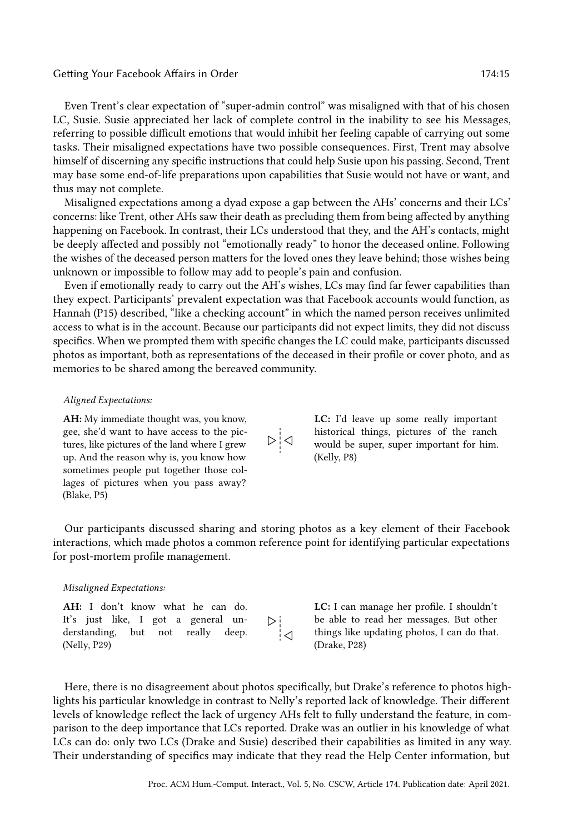Even Trent's clear expectation of "super-admin control" was misaligned with that of his chosen LC, Susie. Susie appreciated her lack of complete control in the inability to see his Messages, referring to possible difficult emotions that would inhibit her feeling capable of carrying out some tasks. Their misaligned expectations have two possible consequences. First, Trent may absolve himself of discerning any specific instructions that could help Susie upon his passing. Second, Trent may base some end-of-life preparations upon capabilities that Susie would not have or want, and thus may not complete.

Misaligned expectations among a dyad expose a gap between the AHs' concerns and their LCs' concerns: like Trent, other AHs saw their death as precluding them from being affected by anything happening on Facebook. In contrast, their LCs understood that they, and the AH's contacts, might be deeply affected and possibly not "emotionally ready" to honor the deceased online. Following the wishes of the deceased person matters for the loved ones they leave behind; those wishes being unknown or impossible to follow may add to people's pain and confusion.

Even if emotionally ready to carry out the AH's wishes, LCs may find far fewer capabilities than they expect. Participants' prevalent expectation was that Facebook accounts would function, as Hannah (P15) described, "like a checking account" in which the named person receives unlimited access to what is in the account. Because our participants did not expect limits, they did not discuss specifics. When we prompted them with specific changes the LC could make, participants discussed photos as important, both as representations of the deceased in their profile or cover photo, and as memories to be shared among the bereaved community.

#### Aligned Expectations:

AH: My immediate thought was, you know, gee, she'd want to have access to the pictures, like pictures of the land where I grew up. And the reason why is, you know how sometimes people put together those collages of pictures when you pass away? (Blake, P5)

LC: I'd leave up some really important historical things, pictures of the ranch would be super, super important for him. (Kelly, P8)

Our participants discussed sharing and storing photos as a key element of their Facebook interactions, which made photos a common reference point for identifying particular expectations for post-mortem profile management.

 $\triangleright$   $\bigcup$ 

#### Misaligned Expectations:

| AH: I don't know what he can do.    |     |
|-------------------------------------|-----|
| It's just like, I got a general un- | D∲  |
| derstanding, but not really deep.   | ा॑⊲ |
| (Nelly, P29)                        |     |

LC: I can manage her profile. I shouldn't be able to read her messages. But other things like updating photos, I can do that. (Drake, P28)

Here, there is no disagreement about photos specifically, but Drake's reference to photos highlights his particular knowledge in contrast to Nelly's reported lack of knowledge. Their different levels of knowledge reflect the lack of urgency AHs felt to fully understand the feature, in comparison to the deep importance that LCs reported. Drake was an outlier in his knowledge of what LCs can do: only two LCs (Drake and Susie) described their capabilities as limited in any way. Their understanding of specifics may indicate that they read the Help Center information, but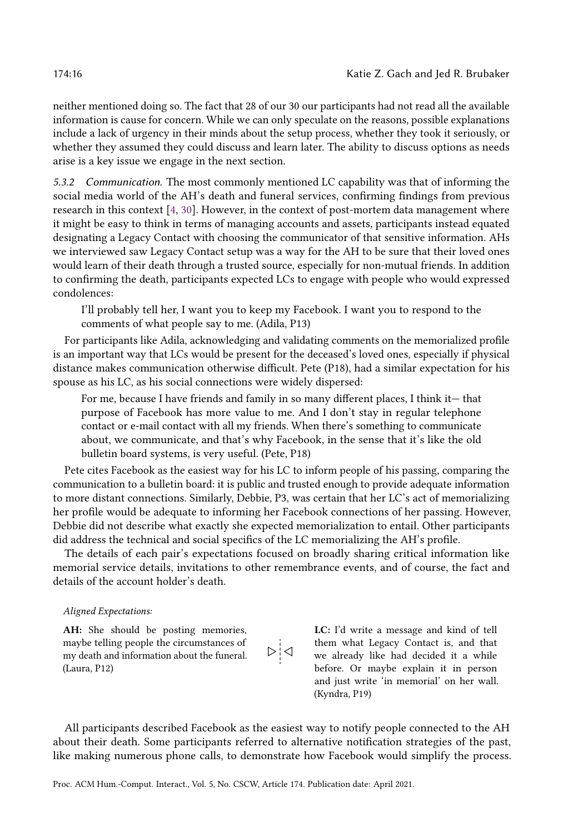neither mentioned doing so. The fact that 28 of our 30 our participants had not read all the available information is cause for concern. While we can only speculate on the reasons, possible explanations include a lack of urgency in their minds about the setup process, whether they took it seriously, or whether they assumed they could discuss and learn later. The ability to discuss options as needs arise is a key issue we engage in the next section.

5.3.2 Communication. The most commonly mentioned LC capability was that of informing the social media world of the AH's death and funeral services, confirming findings from previous research in this context [\[4,](#page-26-0) [30\]](#page-27-23). However, in the context of post-mortem data management where it might be easy to think in terms of managing accounts and assets, participants instead equated designating a Legacy Contact with choosing the communicator of that sensitive information. AHs we interviewed saw Legacy Contact setup was a way for the AH to be sure that their loved ones would learn of their death through a trusted source, especially for non-mutual friends. In addition to confirming the death, participants expected LCs to engage with people who would expressed condolences:

I'll probably tell her, I want you to keep my Facebook. I want you to respond to the comments of what people say to me. (Adila, P13)

For participants like Adila, acknowledging and validating comments on the memorialized profile is an important way that LCs would be present for the deceased's loved ones, especially if physical distance makes communication otherwise difficult. Pete (P18), had a similar expectation for his spouse as his LC, as his social connections were widely dispersed:

For me, because I have friends and family in so many different places, I think it— that purpose of Facebook has more value to me. And I don't stay in regular telephone contact or e-mail contact with all my friends. When there's something to communicate about, we communicate, and that's why Facebook, in the sense that it's like the old bulletin board systems, is very useful. (Pete, P18)

Pete cites Facebook as the easiest way for his LC to inform people of his passing, comparing the communication to a bulletin board: it is public and trusted enough to provide adequate information to more distant connections. Similarly, Debbie, P3, was certain that her LC's act of memorializing her profile would be adequate to informing her Facebook connections of her passing. However, Debbie did not describe what exactly she expected memorialization to entail. Other participants did address the technical and social specifics of the LC memorializing the AH's profile.

The details of each pair's expectations focused on broadly sharing critical information like memorial service details, invitations to other remembrance events, and of course, the fact and details of the account holder's death.

#### Aligned Expectations:

AH: She should be posting memories, maybe telling people the circumstances of my death and information about the funeral. (Laura, P12)

$$
\frac{\sum_{i=1}^{n} x_i}{\sum_{i=1}^{n} x_i}
$$

LC: I'd write a message and kind of tell them what Legacy Contact is, and that we already like had decided it a while before. Or maybe explain it in person and just write 'in memorial' on her wall. (Kyndra, P19)

All participants described Facebook as the easiest way to notify people connected to the AH about their death. Some participants referred to alternative notification strategies of the past, like making numerous phone calls, to demonstrate how Facebook would simplify the process.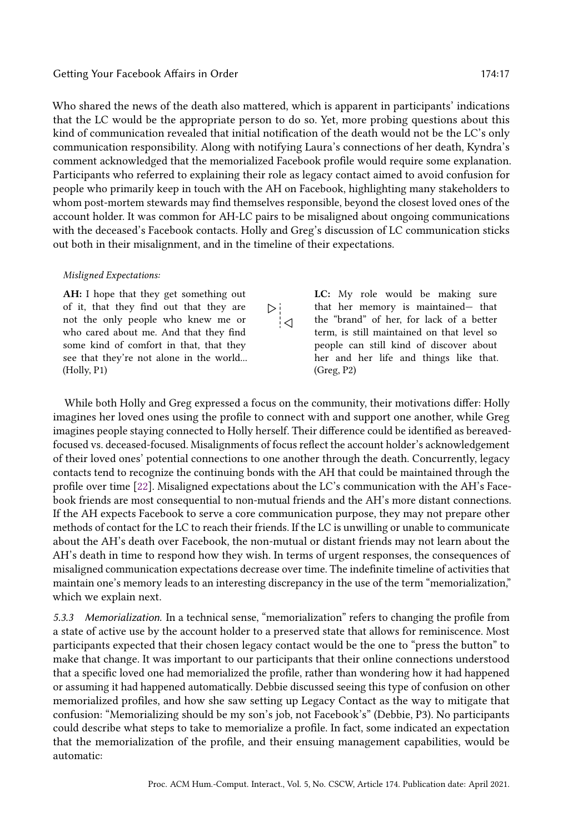Who shared the news of the death also mattered, which is apparent in participants' indications that the LC would be the appropriate person to do so. Yet, more probing questions about this kind of communication revealed that initial notification of the death would not be the LC's only communication responsibility. Along with notifying Laura's connections of her death, Kyndra's comment acknowledged that the memorialized Facebook profile would require some explanation. Participants who referred to explaining their role as legacy contact aimed to avoid confusion for people who primarily keep in touch with the AH on Facebook, highlighting many stakeholders to whom post-mortem stewards may find themselves responsible, beyond the closest loved ones of the account holder. It was common for AH-LC pairs to be misaligned about ongoing communications with the deceased's Facebook contacts. Holly and Greg's discussion of LC communication sticks out both in their misalignment, and in the timeline of their expectations.

 $\frac{\nabla}{\Delta}$ 

#### Misligned Expectations:

AH: I hope that they get something out of it, that they find out that they are not the only people who knew me or who cared about me. And that they find some kind of comfort in that, that they see that they're not alone in the world... (Holly, P1)

LC: My role would be making sure that her memory is maintained— that the "brand" of her, for lack of a better term, is still maintained on that level so people can still kind of discover about her and her life and things like that. (Greg, P2)

While both Holly and Greg expressed a focus on the community, their motivations differ: Holly imagines her loved ones using the profile to connect with and support one another, while Greg imagines people staying connected to Holly herself. Their difference could be identified as bereavedfocused vs. deceased-focused. Misalignments of focus reflect the account holder's acknowledgement of their loved ones' potential connections to one another through the death. Concurrently, legacy contacts tend to recognize the continuing bonds with the AH that could be maintained through the profile over time [\[22\]](#page-27-24). Misaligned expectations about the LC's communication with the AH's Facebook friends are most consequential to non-mutual friends and the AH's more distant connections. If the AH expects Facebook to serve a core communication purpose, they may not prepare other methods of contact for the LC to reach their friends. If the LC is unwilling or unable to communicate about the AH's death over Facebook, the non-mutual or distant friends may not learn about the AH's death in time to respond how they wish. In terms of urgent responses, the consequences of misaligned communication expectations decrease over time. The indefinite timeline of activities that maintain one's memory leads to an interesting discrepancy in the use of the term "memorialization," which we explain next.

5.3.3 Memorialization. In a technical sense, "memorialization" refers to changing the profile from a state of active use by the account holder to a preserved state that allows for reminiscence. Most participants expected that their chosen legacy contact would be the one to "press the button" to make that change. It was important to our participants that their online connections understood that a specific loved one had memorialized the profile, rather than wondering how it had happened or assuming it had happened automatically. Debbie discussed seeing this type of confusion on other memorialized profiles, and how she saw setting up Legacy Contact as the way to mitigate that confusion: "Memorializing should be my son's job, not Facebook's" (Debbie, P3). No participants could describe what steps to take to memorialize a profile. In fact, some indicated an expectation that the memorialization of the profile, and their ensuing management capabilities, would be automatic: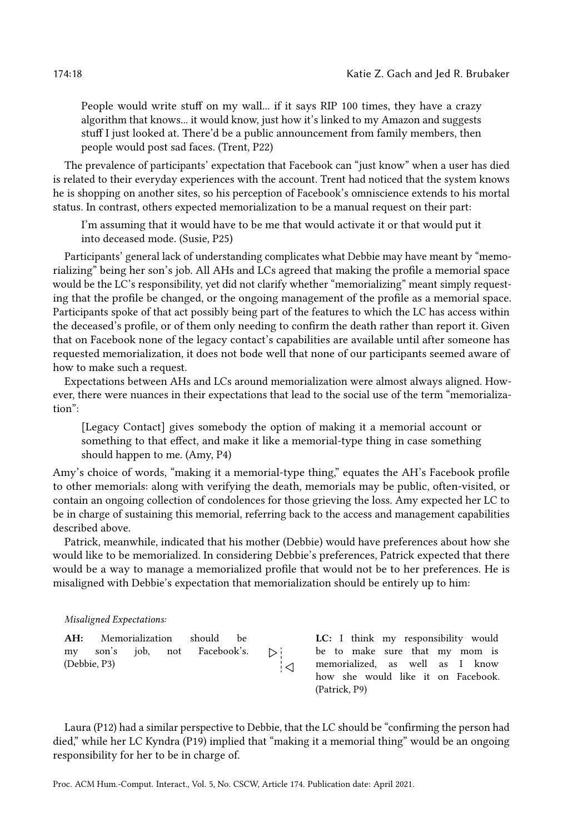People would write stuff on my wall... if it says RIP 100 times, they have a crazy algorithm that knows... it would know, just how it's linked to my Amazon and suggests stuff I just looked at. There'd be a public announcement from family members, then people would post sad faces. (Trent, P22)

The prevalence of participants' expectation that Facebook can "just know" when a user has died is related to their everyday experiences with the account. Trent had noticed that the system knows he is shopping on another sites, so his perception of Facebook's omniscience extends to his mortal status. In contrast, others expected memorialization to be a manual request on their part:

I'm assuming that it would have to be me that would activate it or that would put it into deceased mode. (Susie, P25)

Participants' general lack of understanding complicates what Debbie may have meant by "memorializing" being her son's job. All AHs and LCs agreed that making the profile a memorial space would be the LC's responsibility, yet did not clarify whether "memorializing" meant simply requesting that the profile be changed, or the ongoing management of the profile as a memorial space. Participants spoke of that act possibly being part of the features to which the LC has access within the deceased's profile, or of them only needing to confirm the death rather than report it. Given that on Facebook none of the legacy contact's capabilities are available until after someone has requested memorialization, it does not bode well that none of our participants seemed aware of how to make such a request.

Expectations between AHs and LCs around memorialization were almost always aligned. However, there were nuances in their expectations that lead to the social use of the term "memorialization":

[Legacy Contact] gives somebody the option of making it a memorial account or something to that effect, and make it like a memorial-type thing in case something should happen to me. (Amy, P4)

Amy's choice of words, "making it a memorial-type thing," equates the AH's Facebook profile to other memorials: along with verifying the death, memorials may be public, often-visited, or contain an ongoing collection of condolences for those grieving the loss. Amy expected her LC to be in charge of sustaining this memorial, referring back to the access and management capabilities described above.

Patrick, meanwhile, indicated that his mother (Debbie) would have preferences about how she would like to be memorialized. In considering Debbie's preferences, Patrick expected that there would be a way to manage a memorialized profile that would not be to her preferences. He is misaligned with Debbie's expectation that memorialization should be entirely up to him:

#### Misaligned Expectations:

```
AH: Memorialization should be
my son's job, not Facebook's.
(Debbie, P3)
```
LC: I think my responsibility would be to make sure that my mom is memorialized, as well as I know how she would like it on Facebook. (Patrick, P9)

Laura (P12) had a similar perspective to Debbie, that the LC should be "confirming the person had died," while her LC Kyndra (P19) implied that "making it a memorial thing" would be an ongoing responsibility for her to be in charge of.

┆⊲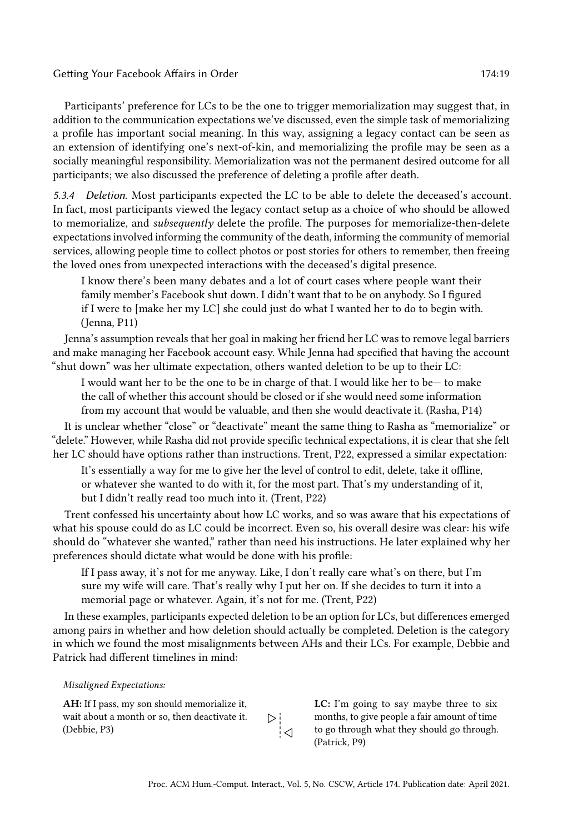Participants' preference for LCs to be the one to trigger memorialization may suggest that, in addition to the communication expectations we've discussed, even the simple task of memorializing a profile has important social meaning. In this way, assigning a legacy contact can be seen as an extension of identifying one's next-of-kin, and memorializing the profile may be seen as a socially meaningful responsibility. Memorialization was not the permanent desired outcome for all participants; we also discussed the preference of deleting a profile after death.

5.3.4 Deletion. Most participants expected the LC to be able to delete the deceased's account. In fact, most participants viewed the legacy contact setup as a choice of who should be allowed to memorialize, and *subsequently* delete the profile. The purposes for memorialize-then-delete expectations involved informing the community of the death, informing the community of memorial services, allowing people time to collect photos or post stories for others to remember, then freeing the loved ones from unexpected interactions with the deceased's digital presence.

I know there's been many debates and a lot of court cases where people want their family member's Facebook shut down. I didn't want that to be on anybody. So I figured if I were to [make her my LC] she could just do what I wanted her to do to begin with. (Jenna, P11)

Jenna's assumption reveals that her goal in making her friend her LC was to remove legal barriers and make managing her Facebook account easy. While Jenna had specified that having the account "shut down" was her ultimate expectation, others wanted deletion to be up to their LC:

I would want her to be the one to be in charge of that. I would like her to be— to make the call of whether this account should be closed or if she would need some information from my account that would be valuable, and then she would deactivate it. (Rasha, P14)

It is unclear whether "close" or "deactivate" meant the same thing to Rasha as "memorialize" or "delete." However, while Rasha did not provide specific technical expectations, it is clear that she felt her LC should have options rather than instructions. Trent, P22, expressed a similar expectation:

It's essentially a way for me to give her the level of control to edit, delete, take it offline, or whatever she wanted to do with it, for the most part. That's my understanding of it, but I didn't really read too much into it. (Trent, P22)

Trent confessed his uncertainty about how LC works, and so was aware that his expectations of what his spouse could do as LC could be incorrect. Even so, his overall desire was clear: his wife should do "whatever she wanted," rather than need his instructions. He later explained why her preferences should dictate what would be done with his profile:

If I pass away, it's not for me anyway. Like, I don't really care what's on there, but I'm sure my wife will care. That's really why I put her on. If she decides to turn it into a memorial page or whatever. Again, it's not for me. (Trent, P22)

In these examples, participants expected deletion to be an option for LCs, but differences emerged among pairs in whether and how deletion should actually be completed. Deletion is the category in which we found the most misalignments between AHs and their LCs. For example, Debbie and Patrick had different timelines in mind:

 $\frac{\triangleright}{\triangleright}$ 

#### Misaligned Expectations:

AH: If I pass, my son should memorialize it, wait about a month or so, then deactivate it. (Debbie, P3)

LC: I'm going to say maybe three to six months, to give people a fair amount of time to go through what they should go through. (Patrick, P9)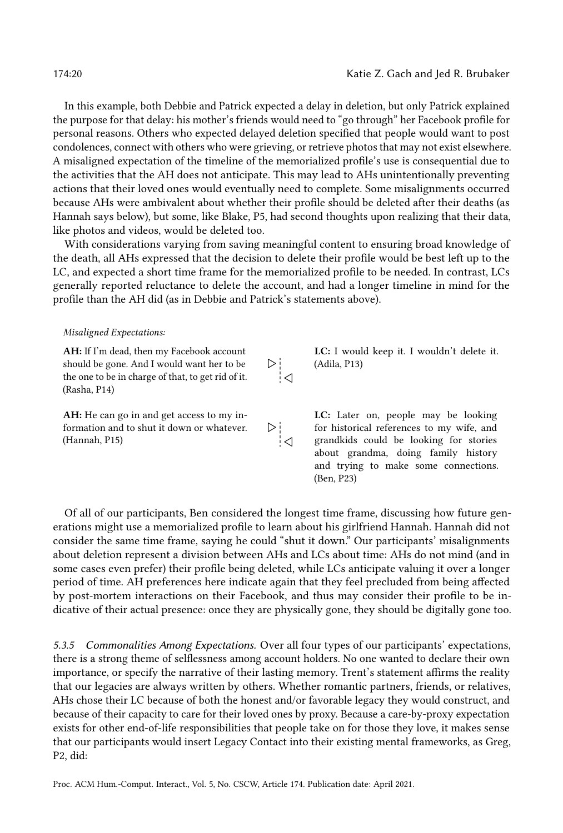and trying to make some connections.

In this example, both Debbie and Patrick expected a delay in deletion, but only Patrick explained the purpose for that delay: his mother's friends would need to "go through" her Facebook profile for personal reasons. Others who expected delayed deletion specified that people would want to post condolences, connect with others who were grieving, or retrieve photos that may not exist elsewhere. A misaligned expectation of the timeline of the memorialized profile's use is consequential due to the activities that the AH does not anticipate. This may lead to AHs unintentionally preventing actions that their loved ones would eventually need to complete. Some misalignments occurred because AHs were ambivalent about whether their profile should be deleted after their deaths (as Hannah says below), but some, like Blake, P5, had second thoughts upon realizing that their data, like photos and videos, would be deleted too.

With considerations varying from saving meaningful content to ensuring broad knowledge of the death, all AHs expressed that the decision to delete their profile would be best left up to the LC, and expected a short time frame for the memorialized profile to be needed. In contrast, LCs generally reported reluctance to delete the account, and had a longer timeline in mind for the profile than the AH did (as in Debbie and Patrick's statements above).

#### Misaligned Expectations:

AH: If I'm dead, then my Facebook account LC: I would keep it. I wouldn't delete it. should be gone. And I would want her to be ⊳i (Adila, P13)  $\overline{\phantom{a}}$ the one to be in charge of that, to get rid of it. (Rasha, P14) AH: He can go in and get access to my in-LC: Later on, people may be looking formation and to shut it down or whatever. for historical references to my wife, and grandkids could be looking for stories (Hannah, P15) about grandma, doing family history

Of all of our participants, Ben considered the longest time frame, discussing how future generations might use a memorialized profile to learn about his girlfriend Hannah. Hannah did not consider the same time frame, saying he could "shut it down." Our participants' misalignments about deletion represent a division between AHs and LCs about time: AHs do not mind (and in some cases even prefer) their profile being deleted, while LCs anticipate valuing it over a longer period of time. AH preferences here indicate again that they feel precluded from being affected by post-mortem interactions on their Facebook, and thus may consider their profile to be indicative of their actual presence: once they are physically gone, they should be digitally gone too.

(Ben, P23)

5.3.5 Commonalities Among Expectations. Over all four types of our participants' expectations, there is a strong theme of selflessness among account holders. No one wanted to declare their own importance, or specify the narrative of their lasting memory. Trent's statement affirms the reality that our legacies are always written by others. Whether romantic partners, friends, or relatives, AHs chose their LC because of both the honest and/or favorable legacy they would construct, and because of their capacity to care for their loved ones by proxy. Because a care-by-proxy expectation exists for other end-of-life responsibilities that people take on for those they love, it makes sense that our participants would insert Legacy Contact into their existing mental frameworks, as Greg, P2, did: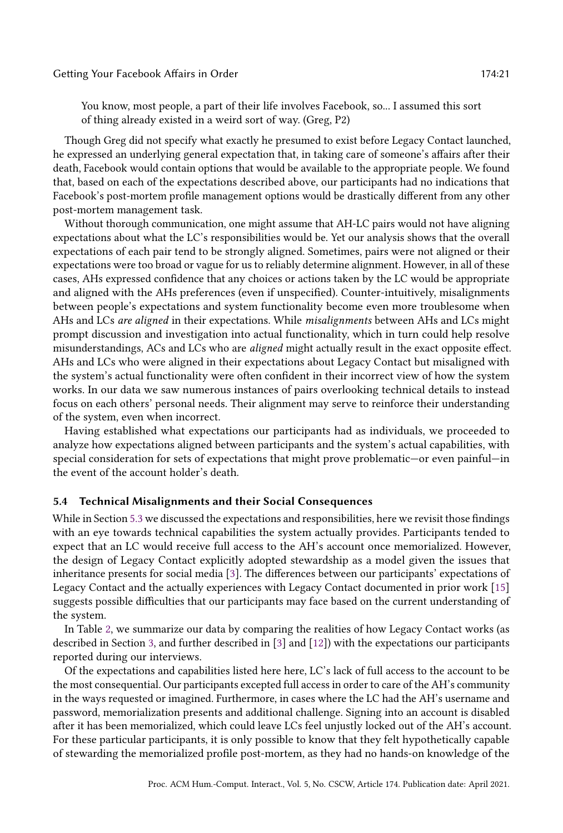You know, most people, a part of their life involves Facebook, so... I assumed this sort of thing already existed in a weird sort of way. (Greg, P2)

Though Greg did not specify what exactly he presumed to exist before Legacy Contact launched, he expressed an underlying general expectation that, in taking care of someone's affairs after their death, Facebook would contain options that would be available to the appropriate people. We found that, based on each of the expectations described above, our participants had no indications that Facebook's post-mortem profile management options would be drastically different from any other post-mortem management task.

Without thorough communication, one might assume that AH-LC pairs would not have aligning expectations about what the LC's responsibilities would be. Yet our analysis shows that the overall expectations of each pair tend to be strongly aligned. Sometimes, pairs were not aligned or their expectations were too broad or vague for us to reliably determine alignment. However, in all of these cases, AHs expressed confidence that any choices or actions taken by the LC would be appropriate and aligned with the AHs preferences (even if unspecified). Counter-intuitively, misalignments between people's expectations and system functionality become even more troublesome when AHs and LCs are aligned in their expectations. While misalignments between AHs and LCs might prompt discussion and investigation into actual functionality, which in turn could help resolve misunderstandings, ACs and LCs who are aligned might actually result in the exact opposite effect. AHs and LCs who were aligned in their expectations about Legacy Contact but misaligned with the system's actual functionality were often confident in their incorrect view of how the system works. In our data we saw numerous instances of pairs overlooking technical details to instead focus on each others' personal needs. Their alignment may serve to reinforce their understanding of the system, even when incorrect.

Having established what expectations our participants had as individuals, we proceeded to analyze how expectations aligned between participants and the system's actual capabilities, with special consideration for sets of expectations that might prove problematic—or even painful—in the event of the account holder's death.

### 5.4 Technical Misalignments and their Social Consequences

While in Section [5.3](#page-12-0) we discussed the expectations and responsibilities, here we revisit those findings with an eye towards technical capabilities the system actually provides. Participants tended to expect that an LC would receive full access to the AH's account once memorialized. However, the design of Legacy Contact explicitly adopted stewardship as a model given the issues that inheritance presents for social media [\[3\]](#page-26-2). The differences between our participants' expectations of Legacy Contact and the actually experiences with Legacy Contact documented in prior work [\[15\]](#page-27-2) suggests possible difficulties that our participants may face based on the current understanding of the system.

In Table [2,](#page-21-0) we summarize our data by comparing the realities of how Legacy Contact works (as described in Section [3,](#page-5-0) and further described in [\[3\]](#page-26-2) and [\[12\]](#page-27-1)) with the expectations our participants reported during our interviews.

Of the expectations and capabilities listed here here, LC's lack of full access to the account to be the most consequential. Our participants excepted full access in order to care of the AH's community in the ways requested or imagined. Furthermore, in cases where the LC had the AH's username and password, memorialization presents and additional challenge. Signing into an account is disabled after it has been memorialized, which could leave LCs feel unjustly locked out of the AH's account. For these particular participants, it is only possible to know that they felt hypothetically capable of stewarding the memorialized profile post-mortem, as they had no hands-on knowledge of the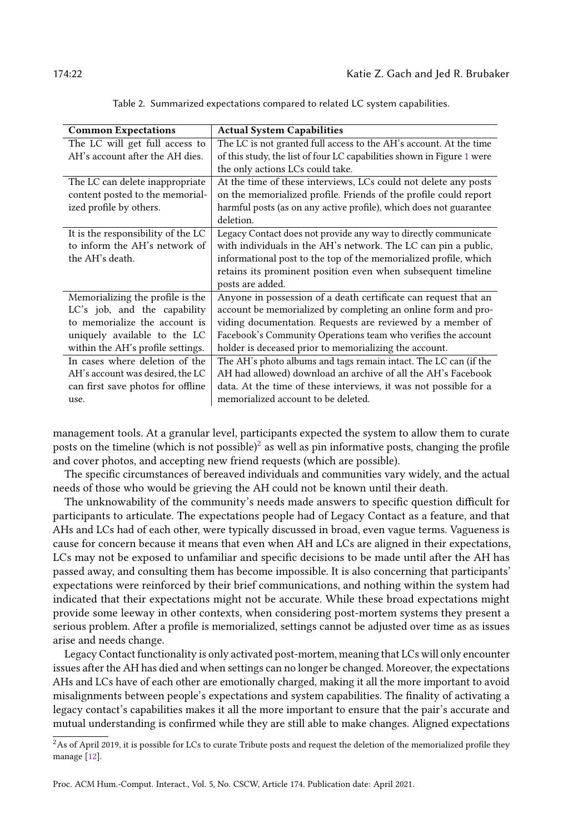<span id="page-21-0"></span>

| <b>Common Expectations</b>         | <b>Actual System Capabilities</b>                                      |
|------------------------------------|------------------------------------------------------------------------|
| The LC will get full access to     | The LC is not granted full access to the AH's account. At the time     |
| AH's account after the AH dies.    | of this study, the list of four LC capabilities shown in Figure 1 were |
|                                    | the only actions LCs could take.                                       |
| The LC can delete inappropriate    | At the time of these interviews, LCs could not delete any posts        |
| content posted to the memorial-    | on the memorialized profile. Friends of the profile could report       |
| ized profile by others.            | harmful posts (as on any active profile), which does not guarantee     |
|                                    | deletion.                                                              |
| It is the responsibility of the LC | Legacy Contact does not provide any way to directly communicate        |
| to inform the AH's network of      | with individuals in the AH's network. The LC can pin a public,         |
| the AH's death.                    | informational post to the top of the memorialized profile, which       |
|                                    | retains its prominent position even when subsequent timeline           |
|                                    | posts are added.                                                       |
| Memorializing the profile is the   | Anyone in possession of a death certificate can request that an        |
| LC's job, and the capability       | account be memorialized by completing an online form and pro-          |
| to memorialize the account is      | viding documentation. Requests are reviewed by a member of             |
| uniquely available to the LC       | Facebook's Community Operations team who verifies the account          |
| within the AH's profile settings.  | holder is deceased prior to memorializing the account.                 |
| In cases where deletion of the     | The AH's photo albums and tags remain intact. The LC can (if the       |
| AH's account was desired, the LC   | AH had allowed) download an archive of all the AH's Facebook           |
| can first save photos for offline  | data. At the time of these interviews, it was not possible for a       |
| use.                               | memorialized account to be deleted.                                    |

Table 2. Summarized expectations compared to related LC system capabilities.

management tools. At a granular level, participants expected the system to allow them to curate posts on the timeline (which is not possible) $^2$  $^2$  as well as pin informative posts, changing the profile and cover photos, and accepting new friend requests (which are possible).

The specific circumstances of bereaved individuals and communities vary widely, and the actual needs of those who would be grieving the AH could not be known until their death.

The unknowability of the community's needs made answers to specific question difficult for participants to articulate. The expectations people had of Legacy Contact as a feature, and that AHs and LCs had of each other, were typically discussed in broad, even vague terms. Vagueness is cause for concern because it means that even when AH and LCs are aligned in their expectations, LCs may not be exposed to unfamiliar and specific decisions to be made until after the AH has passed away, and consulting them has become impossible. It is also concerning that participants' expectations were reinforced by their brief communications, and nothing within the system had indicated that their expectations might not be accurate. While these broad expectations might provide some leeway in other contexts, when considering post-mortem systems they present a serious problem. After a profile is memorialized, settings cannot be adjusted over time as as issues arise and needs change.

Legacy Contact functionality is only activated post-mortem, meaning that LCs will only encounter issues after the AH has died and when settings can no longer be changed. Moreover, the expectations AHs and LCs have of each other are emotionally charged, making it all the more important to avoid misalignments between people's expectations and system capabilities. The finality of activating a legacy contact's capabilities makes it all the more important to ensure that the pair's accurate and mutual understanding is confirmed while they are still able to make changes. Aligned expectations

<span id="page-21-1"></span> $2$ As of April 2019, it is possible for LCs to curate Tribute posts and request the deletion of the memorialized profile they manage [\[12\]](#page-27-1).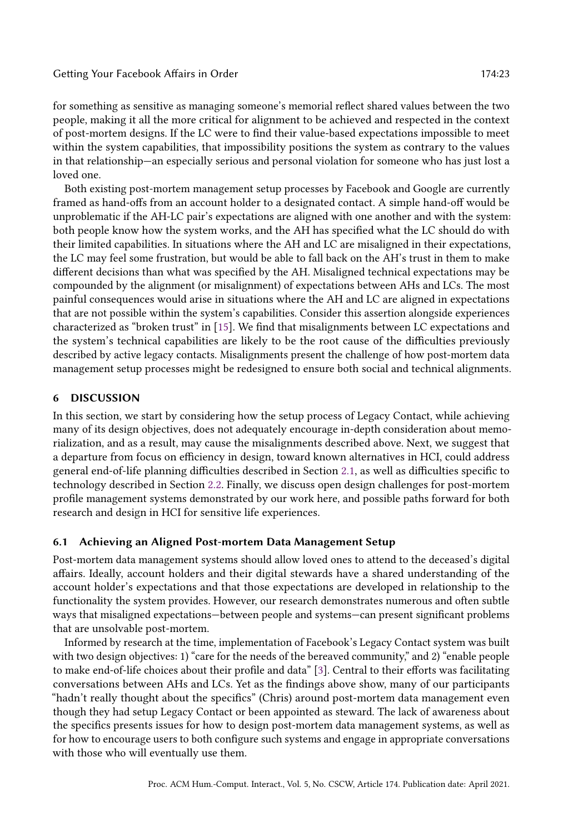for something as sensitive as managing someone's memorial reflect shared values between the two people, making it all the more critical for alignment to be achieved and respected in the context of post-mortem designs. If the LC were to find their value-based expectations impossible to meet within the system capabilities, that impossibility positions the system as contrary to the values in that relationship—an especially serious and personal violation for someone who has just lost a loved one.

Both existing post-mortem management setup processes by Facebook and Google are currently framed as hand-offs from an account holder to a designated contact. A simple hand-off would be unproblematic if the AH-LC pair's expectations are aligned with one another and with the system: both people know how the system works, and the AH has specified what the LC should do with their limited capabilities. In situations where the AH and LC are misaligned in their expectations, the LC may feel some frustration, but would be able to fall back on the AH's trust in them to make different decisions than what was specified by the AH. Misaligned technical expectations may be compounded by the alignment (or misalignment) of expectations between AHs and LCs. The most painful consequences would arise in situations where the AH and LC are aligned in expectations that are not possible within the system's capabilities. Consider this assertion alongside experiences characterized as "broken trust" in [\[15\]](#page-27-2). We find that misalignments between LC expectations and the system's technical capabilities are likely to be the root cause of the difficulties previously described by active legacy contacts. Misalignments present the challenge of how post-mortem data management setup processes might be redesigned to ensure both social and technical alignments.

## 6 DISCUSSION

In this section, we start by considering how the setup process of Legacy Contact, while achieving many of its design objectives, does not adequately encourage in-depth consideration about memorialization, and as a result, may cause the misalignments described above. Next, we suggest that a departure from focus on efficiency in design, toward known alternatives in HCI, could address general end-of-life planning difficulties described in Section [2.1,](#page-2-0) as well as difficulties specific to technology described in Section [2.2.](#page-3-0) Finally, we discuss open design challenges for post-mortem profile management systems demonstrated by our work here, and possible paths forward for both research and design in HCI for sensitive life experiences.

#### 6.1 Achieving an Aligned Post-mortem Data Management Setup

Post-mortem data management systems should allow loved ones to attend to the deceased's digital affairs. Ideally, account holders and their digital stewards have a shared understanding of the account holder's expectations and that those expectations are developed in relationship to the functionality the system provides. However, our research demonstrates numerous and often subtle ways that misaligned expectations—between people and systems—can present significant problems that are unsolvable post-mortem.

Informed by research at the time, implementation of Facebook's Legacy Contact system was built with two design objectives: 1) "care for the needs of the bereaved community," and 2) "enable people to make end-of-life choices about their profile and data" [\[3\]](#page-26-2). Central to their efforts was facilitating conversations between AHs and LCs. Yet as the findings above show, many of our participants "hadn't really thought about the specifics" (Chris) around post-mortem data management even though they had setup Legacy Contact or been appointed as steward. The lack of awareness about the specifics presents issues for how to design post-mortem data management systems, as well as for how to encourage users to both configure such systems and engage in appropriate conversations with those who will eventually use them.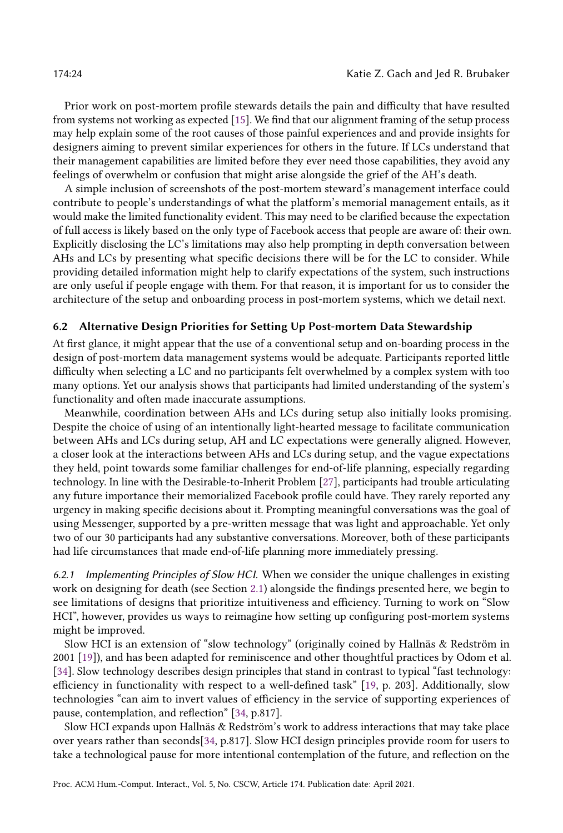Prior work on post-mortem profile stewards details the pain and difficulty that have resulted from systems not working as expected [\[15\]](#page-27-2). We find that our alignment framing of the setup process may help explain some of the root causes of those painful experiences and and provide insights for designers aiming to prevent similar experiences for others in the future. If LCs understand that their management capabilities are limited before they ever need those capabilities, they avoid any feelings of overwhelm or confusion that might arise alongside the grief of the AH's death.

A simple inclusion of screenshots of the post-mortem steward's management interface could contribute to people's understandings of what the platform's memorial management entails, as it would make the limited functionality evident. This may need to be clarified because the expectation of full access is likely based on the only type of Facebook access that people are aware of: their own. Explicitly disclosing the LC's limitations may also help prompting in depth conversation between AHs and LCs by presenting what specific decisions there will be for the LC to consider. While providing detailed information might help to clarify expectations of the system, such instructions are only useful if people engage with them. For that reason, it is important for us to consider the architecture of the setup and onboarding process in post-mortem systems, which we detail next.

#### 6.2 Alternative Design Priorities for Setting Up Post-mortem Data Stewardship

At first glance, it might appear that the use of a conventional setup and on-boarding process in the design of post-mortem data management systems would be adequate. Participants reported little difficulty when selecting a LC and no participants felt overwhelmed by a complex system with too many options. Yet our analysis shows that participants had limited understanding of the system's functionality and often made inaccurate assumptions.

Meanwhile, coordination between AHs and LCs during setup also initially looks promising. Despite the choice of using of an intentionally light-hearted message to facilitate communication between AHs and LCs during setup, AH and LC expectations were generally aligned. However, a closer look at the interactions between AHs and LCs during setup, and the vague expectations they held, point towards some familiar challenges for end-of-life planning, especially regarding technology. In line with the Desirable-to-Inherit Problem [\[27\]](#page-27-9), participants had trouble articulating any future importance their memorialized Facebook profile could have. They rarely reported any urgency in making specific decisions about it. Prompting meaningful conversations was the goal of using Messenger, supported by a pre-written message that was light and approachable. Yet only two of our 30 participants had any substantive conversations. Moreover, both of these participants had life circumstances that made end-of-life planning more immediately pressing.

6.2.1 Implementing Principles of Slow HCI. When we consider the unique challenges in existing work on designing for death (see Section [2.1\)](#page-2-0) alongside the findings presented here, we begin to see limitations of designs that prioritize intuitiveness and efficiency. Turning to work on "Slow HCI", however, provides us ways to reimagine how setting up configuring post-mortem systems might be improved.

Slow HCI is an extension of "slow technology" (originally coined by Hallnäs & Redström in 2001 [\[19\]](#page-27-25)), and has been adapted for reminiscence and other thoughtful practices by Odom et al. [\[34\]](#page-28-11). Slow technology describes design principles that stand in contrast to typical "fast technology: efficiency in functionality with respect to a well-defined task" [\[19,](#page-27-25) p. 203]. Additionally, slow technologies "can aim to invert values of efficiency in the service of supporting experiences of pause, contemplation, and reflection" [\[34,](#page-28-11) p.817].

Slow HCI expands upon Hallnäs & Redström's work to address interactions that may take place over years rather than seconds[\[34,](#page-28-11) p.817]. Slow HCI design principles provide room for users to take a technological pause for more intentional contemplation of the future, and reflection on the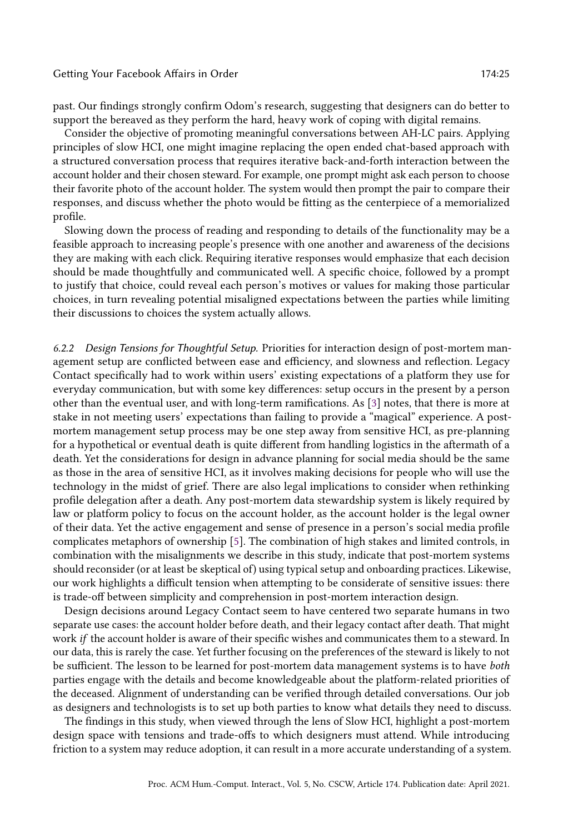past. Our findings strongly confirm Odom's research, suggesting that designers can do better to support the bereaved as they perform the hard, heavy work of coping with digital remains.

Consider the objective of promoting meaningful conversations between AH-LC pairs. Applying principles of slow HCI, one might imagine replacing the open ended chat-based approach with a structured conversation process that requires iterative back-and-forth interaction between the account holder and their chosen steward. For example, one prompt might ask each person to choose their favorite photo of the account holder. The system would then prompt the pair to compare their responses, and discuss whether the photo would be fitting as the centerpiece of a memorialized profile.

Slowing down the process of reading and responding to details of the functionality may be a feasible approach to increasing people's presence with one another and awareness of the decisions they are making with each click. Requiring iterative responses would emphasize that each decision should be made thoughtfully and communicated well. A specific choice, followed by a prompt to justify that choice, could reveal each person's motives or values for making those particular choices, in turn revealing potential misaligned expectations between the parties while limiting their discussions to choices the system actually allows.

6.2.2 Design Tensions for Thoughtful Setup. Priorities for interaction design of post-mortem management setup are conflicted between ease and efficiency, and slowness and reflection. Legacy Contact specifically had to work within users' existing expectations of a platform they use for everyday communication, but with some key differences: setup occurs in the present by a person other than the eventual user, and with long-term ramifications. As [\[3\]](#page-26-2) notes, that there is more at stake in not meeting users' expectations than failing to provide a "magical" experience. A postmortem management setup process may be one step away from sensitive HCI, as pre-planning for a hypothetical or eventual death is quite different from handling logistics in the aftermath of a death. Yet the considerations for design in advance planning for social media should be the same as those in the area of sensitive HCI, as it involves making decisions for people who will use the technology in the midst of grief. There are also legal implications to consider when rethinking profile delegation after a death. Any post-mortem data stewardship system is likely required by law or platform policy to focus on the account holder, as the account holder is the legal owner of their data. Yet the active engagement and sense of presence in a person's social media profile complicates metaphors of ownership [\[5\]](#page-27-26). The combination of high stakes and limited controls, in combination with the misalignments we describe in this study, indicate that post-mortem systems should reconsider (or at least be skeptical of) using typical setup and onboarding practices. Likewise, our work highlights a difficult tension when attempting to be considerate of sensitive issues: there is trade-off between simplicity and comprehension in post-mortem interaction design.

Design decisions around Legacy Contact seem to have centered two separate humans in two separate use cases: the account holder before death, and their legacy contact after death. That might work if the account holder is aware of their specific wishes and communicates them to a steward. In our data, this is rarely the case. Yet further focusing on the preferences of the steward is likely to not be sufficient. The lesson to be learned for post-mortem data management systems is to have both parties engage with the details and become knowledgeable about the platform-related priorities of the deceased. Alignment of understanding can be verified through detailed conversations. Our job as designers and technologists is to set up both parties to know what details they need to discuss.

The findings in this study, when viewed through the lens of Slow HCI, highlight a post-mortem design space with tensions and trade-offs to which designers must attend. While introducing friction to a system may reduce adoption, it can result in a more accurate understanding of a system.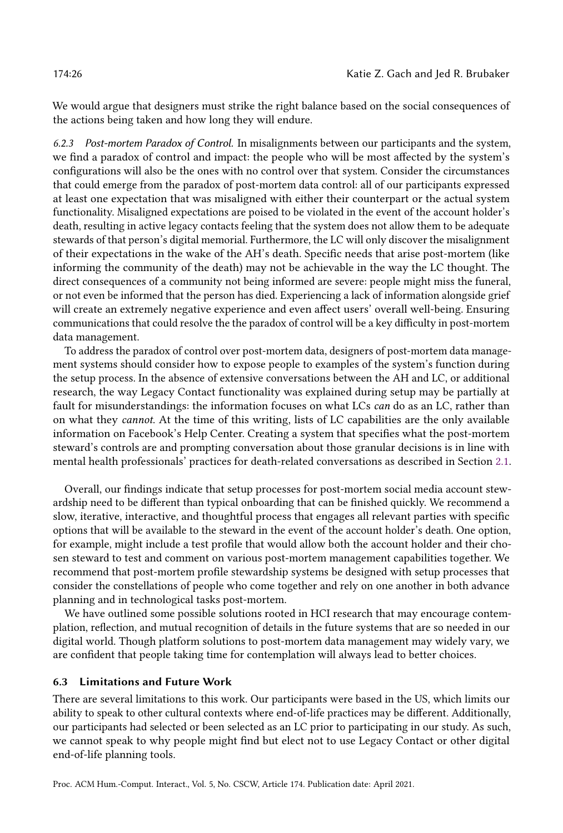We would argue that designers must strike the right balance based on the social consequences of the actions being taken and how long they will endure.

6.2.3 Post-mortem Paradox of Control. In misalignments between our participants and the system, we find a paradox of control and impact: the people who will be most affected by the system's configurations will also be the ones with no control over that system. Consider the circumstances that could emerge from the paradox of post-mortem data control: all of our participants expressed at least one expectation that was misaligned with either their counterpart or the actual system functionality. Misaligned expectations are poised to be violated in the event of the account holder's death, resulting in active legacy contacts feeling that the system does not allow them to be adequate stewards of that person's digital memorial. Furthermore, the LC will only discover the misalignment of their expectations in the wake of the AH's death. Specific needs that arise post-mortem (like informing the community of the death) may not be achievable in the way the LC thought. The direct consequences of a community not being informed are severe: people might miss the funeral, or not even be informed that the person has died. Experiencing a lack of information alongside grief will create an extremely negative experience and even affect users' overall well-being. Ensuring communications that could resolve the the paradox of control will be a key difficulty in post-mortem data management.

To address the paradox of control over post-mortem data, designers of post-mortem data management systems should consider how to expose people to examples of the system's function during the setup process. In the absence of extensive conversations between the AH and LC, or additional research, the way Legacy Contact functionality was explained during setup may be partially at fault for misunderstandings: the information focuses on what LCs can do as an LC, rather than on what they cannot. At the time of this writing, lists of LC capabilities are the only available information on Facebook's Help Center. Creating a system that specifies what the post-mortem steward's controls are and prompting conversation about those granular decisions is in line with mental health professionals' practices for death-related conversations as described in Section [2.1.](#page-2-0)

Overall, our findings indicate that setup processes for post-mortem social media account stewardship need to be different than typical onboarding that can be finished quickly. We recommend a slow, iterative, interactive, and thoughtful process that engages all relevant parties with specific options that will be available to the steward in the event of the account holder's death. One option, for example, might include a test profile that would allow both the account holder and their chosen steward to test and comment on various post-mortem management capabilities together. We recommend that post-mortem profile stewardship systems be designed with setup processes that consider the constellations of people who come together and rely on one another in both advance planning and in technological tasks post-mortem.

We have outlined some possible solutions rooted in HCI research that may encourage contemplation, reflection, and mutual recognition of details in the future systems that are so needed in our digital world. Though platform solutions to post-mortem data management may widely vary, we are confident that people taking time for contemplation will always lead to better choices.

# 6.3 Limitations and Future Work

There are several limitations to this work. Our participants were based in the US, which limits our ability to speak to other cultural contexts where end-of-life practices may be different. Additionally, our participants had selected or been selected as an LC prior to participating in our study. As such, we cannot speak to why people might find but elect not to use Legacy Contact or other digital end-of-life planning tools.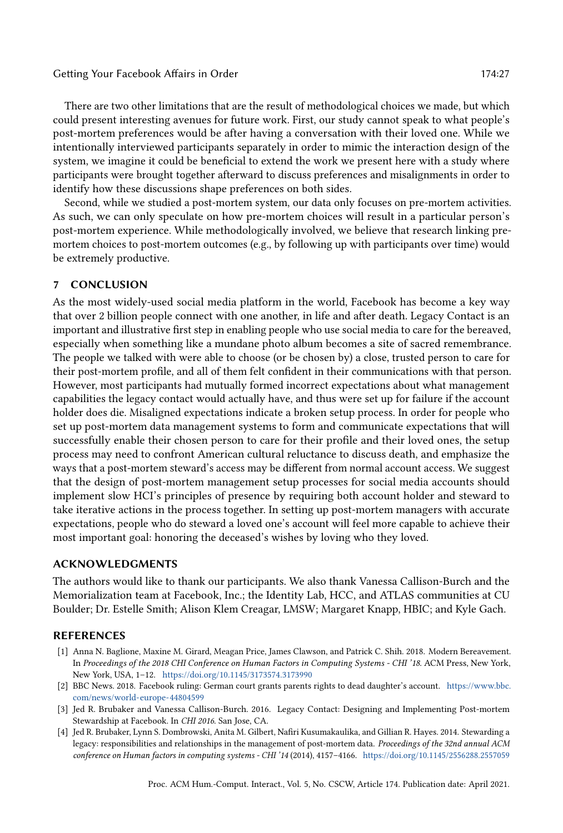There are two other limitations that are the result of methodological choices we made, but which could present interesting avenues for future work. First, our study cannot speak to what people's post-mortem preferences would be after having a conversation with their loved one. While we intentionally interviewed participants separately in order to mimic the interaction design of the system, we imagine it could be beneficial to extend the work we present here with a study where participants were brought together afterward to discuss preferences and misalignments in order to identify how these discussions shape preferences on both sides.

Second, while we studied a post-mortem system, our data only focuses on pre-mortem activities. As such, we can only speculate on how pre-mortem choices will result in a particular person's post-mortem experience. While methodologically involved, we believe that research linking premortem choices to post-mortem outcomes (e.g., by following up with participants over time) would be extremely productive.

# 7 CONCLUSION

As the most widely-used social media platform in the world, Facebook has become a key way that over 2 billion people connect with one another, in life and after death. Legacy Contact is an important and illustrative first step in enabling people who use social media to care for the bereaved, especially when something like a mundane photo album becomes a site of sacred remembrance. The people we talked with were able to choose (or be chosen by) a close, trusted person to care for their post-mortem profile, and all of them felt confident in their communications with that person. However, most participants had mutually formed incorrect expectations about what management capabilities the legacy contact would actually have, and thus were set up for failure if the account holder does die. Misaligned expectations indicate a broken setup process. In order for people who set up post-mortem data management systems to form and communicate expectations that will successfully enable their chosen person to care for their profile and their loved ones, the setup process may need to confront American cultural reluctance to discuss death, and emphasize the ways that a post-mortem steward's access may be different from normal account access. We suggest that the design of post-mortem management setup processes for social media accounts should implement slow HCI's principles of presence by requiring both account holder and steward to take iterative actions in the process together. In setting up post-mortem managers with accurate expectations, people who do steward a loved one's account will feel more capable to achieve their most important goal: honoring the deceased's wishes by loving who they loved.

#### ACKNOWLEDGMENTS

The authors would like to thank our participants. We also thank Vanessa Callison-Burch and the Memorialization team at Facebook, Inc.; the Identity Lab, HCC, and ATLAS communities at CU Boulder; Dr. Estelle Smith; Alison Klem Creagar, LMSW; Margaret Knapp, HBIC; and Kyle Gach.

#### REFERENCES

- <span id="page-26-3"></span>[1] Anna N. Baglione, Maxine M. Girard, Meagan Price, James Clawson, and Patrick C. Shih. 2018. Modern Bereavement. In Proceedings of the 2018 CHI Conference on Human Factors in Computing Systems - CHI '18. ACM Press, New York, New York, USA, 1–12. <https://doi.org/10.1145/3173574.3173990>
- <span id="page-26-1"></span>[2] BBC News. 2018. Facebook ruling: German court grants parents rights to dead daughter's account. [https://www.bbc.](https://www.bbc.com/news/world-europe-44804599) [com/news/world-europe-44804599](https://www.bbc.com/news/world-europe-44804599)
- <span id="page-26-2"></span>[3] Jed R. Brubaker and Vanessa Callison-Burch. 2016. Legacy Contact: Designing and Implementing Post-mortem Stewardship at Facebook. In CHI 2016. San Jose, CA.
- <span id="page-26-0"></span>[4] Jed R. Brubaker, Lynn S. Dombrowski, Anita M. Gilbert, Nafiri Kusumakaulika, and Gillian R. Hayes. 2014. Stewarding a legacy: responsibilities and relationships in the management of post-mortem data. Proceedings of the 32nd annual ACM conference on Human factors in computing systems - CHI '14 (2014), 4157–4166. <https://doi.org/10.1145/2556288.2557059>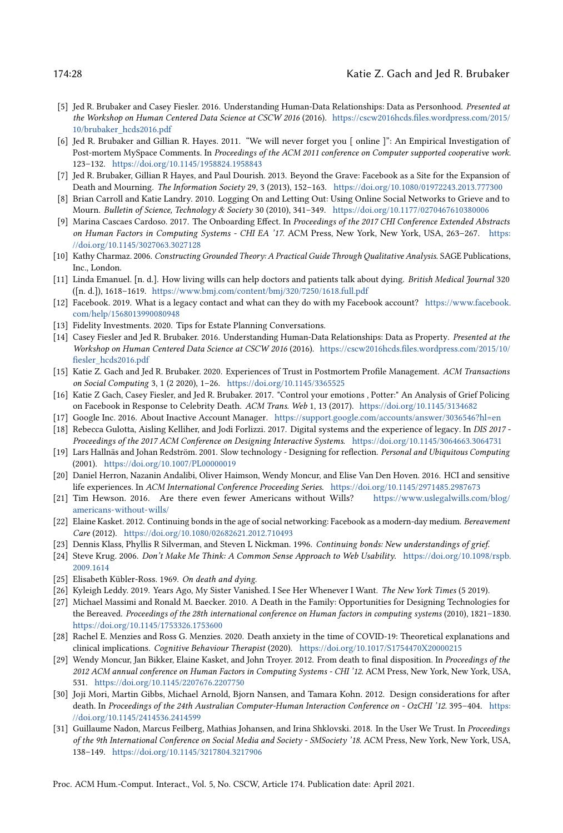#### 174:28 Katie Z. Gach and Jed R. Brubaker

- <span id="page-27-26"></span>[5] Jed R. Brubaker and Casey Fiesler. 2016. Understanding Human-Data Relationships: Data as Personhood. Presented at the Workshop on Human Centered Data Science at CSCW 2016 (2016). [https://cscw2016hcds.files.wordpress.com/2015/](https://cscw2016hcds.files.wordpress.com/2015/10/brubaker_hcds2016.pdf) [10/brubaker\\_hcds2016.pdf](https://cscw2016hcds.files.wordpress.com/2015/10/brubaker_hcds2016.pdf)
- <span id="page-27-13"></span>[6] Jed R. Brubaker and Gillian R. Hayes. 2011. "We will never forget you [ online ]": An Empirical Investigation of Post-mortem MySpace Comments. In Proceedings of the ACM 2011 conference on Computer supported cooperative work. 123–132. <https://doi.org/10.1145/1958824.1958843>
- <span id="page-27-7"></span>[7] Jed R. Brubaker, Gillian R Hayes, and Paul Dourish. 2013. Beyond the Grave: Facebook as a Site for the Expansion of Death and Mourning. The Information Society 29, 3 (2013), 152–163. <https://doi.org/10.1080/01972243.2013.777300>
- <span id="page-27-18"></span>[8] Brian Carroll and Katie Landry. 2010. Logging On and Letting Out: Using Online Social Networks to Grieve and to Mourn. Bulletin of Science, Technology & Society 30 (2010), 341–349. <https://doi.org/10.1177/0270467610380006>
- <span id="page-27-19"></span>[9] Marina Cascaes Cardoso. 2017. The Onboarding Effect. In Proceedings of the 2017 CHI Conference Extended Abstracts on Human Factors in Computing Systems - CHI EA '17. ACM Press, New York, New York, USA, 263–267. [https:](https://doi.org/10.1145/3027063.3027128) [//doi.org/10.1145/3027063.3027128](https://doi.org/10.1145/3027063.3027128)
- <span id="page-27-22"></span>[10] Kathy Charmaz. 2006. Constructing Grounded Theory: A Practical Guide Through Qualitative Analysis. SAGE Publications, Inc., London.
- <span id="page-27-4"></span>[11] Linda Emanuel. [n. d.]. How living wills can help doctors and patients talk about dying. British Medical Journal 320 ([n. d.]), 1618–1619. <https://www.bmj.com/content/bmj/320/7250/1618.full.pdf>
- <span id="page-27-1"></span>[12] Facebook. 2019. What is a legacy contact and what can they do with my Facebook account? [https://www.facebook.](https://www.facebook.com/help/1568013990080948) [com/help/1568013990080948](https://www.facebook.com/help/1568013990080948)
- <span id="page-27-5"></span>[13] Fidelity Investments. 2020. Tips for Estate Planning Conversations.
- <span id="page-27-12"></span>[14] Casey Fiesler and Jed R. Brubaker. 2016. Understanding Human-Data Relationships: Data as Property. Presented at the Workshop on Human Centered Data Science at CSCW 2016 (2016). [https://cscw2016hcds.files.wordpress.com/2015/10/](https://cscw2016hcds.files.wordpress.com/2015/10/fiesler_hcds2016.pdf) [fiesler\\_hcds2016.pdf](https://cscw2016hcds.files.wordpress.com/2015/10/fiesler_hcds2016.pdf)
- <span id="page-27-2"></span>[15] Katie Z. Gach and Jed R. Brubaker. 2020. Experiences of Trust in Postmortem Profile Management. ACM Transactions on Social Computing 3, 1 (2 2020), 1–26. <https://doi.org/10.1145/3365525>
- <span id="page-27-11"></span>[16] Katie Z Gach, Casey Fiesler, and Jed R. Brubaker. 2017. "Control your emotions , Potter:" An Analysis of Grief Policing on Facebook in Response to Celebrity Death. ACM Trans. Web 1, 13 (2017). <https://doi.org/10.1145/3134682>
- <span id="page-27-0"></span>[17] Google Inc. 2016. About Inactive Account Manager. <https://support.google.com/accounts/answer/3036546?hl=en>
- <span id="page-27-14"></span>[18] Rebecca Gulotta, Aisling Kelliher, and Jodi Forlizzi. 2017. Digital systems and the experience of legacy. In DIS 2017 - Proceedings of the 2017 ACM Conference on Designing Interactive Systems. <https://doi.org/10.1145/3064663.3064731>
- <span id="page-27-25"></span>[19] Lars Hallnäs and Johan Redström. 2001. Slow technology - Designing for reflection. Personal and Ubiquitous Computing (2001). <https://doi.org/10.1007/PL00000019>
- <span id="page-27-10"></span>[20] Daniel Herron, Nazanin Andalibi, Oliver Haimson, Wendy Moncur, and Elise Van Den Hoven. 2016. HCI and sensitive life experiences. In ACM International Conference Proceeding Series. <https://doi.org/10.1145/2971485.2987673>
- <span id="page-27-3"></span>[21] Tim Hewson. 2016. Are there even fewer Americans without Wills? [https://www.uslegalwills.com/blog/](https://www.uslegalwills.com/blog/americans-without-wills/) [americans-without-wills/](https://www.uslegalwills.com/blog/americans-without-wills/)
- <span id="page-27-24"></span>[22] Elaine Kasket. 2012. Continuing bonds in the age of social networking: Facebook as a modern-day medium. Bereavement Care (2012). <https://doi.org/10.1080/02682621.2012.710493>
- <span id="page-27-17"></span>[23] Dennis Klass, Phyllis R Silverman, and Steven L Nickman. 1996. Continuing bonds: New understandings of grief.
- <span id="page-27-20"></span>[24] Steve Krug. 2006. Don't Make Me Think: A Common Sense Approach to Web Usability. [https://doi.org/10.1098/rspb.](https://doi.org/10.1098/rspb.2009.1614) [2009.1614](https://doi.org/10.1098/rspb.2009.1614)
- <span id="page-27-16"></span>[25] Elisabeth Kübler-Ross. 1969. On death and dying.
- <span id="page-27-15"></span>[26] Kyleigh Leddy. 2019. Years Ago, My Sister Vanished. I See Her Whenever I Want. The New York Times (5 2019).
- <span id="page-27-9"></span>[27] Michael Massimi and Ronald M. Baecker. 2010. A Death in the Family: Opportunities for Designing Technologies for the Bereaved. Proceedings of the 28th international conference on Human factors in computing systems (2010), 1821–1830. <https://doi.org/10.1145/1753326.1753600>
- <span id="page-27-8"></span>[28] Rachel E. Menzies and Ross G. Menzies. 2020. Death anxiety in the time of COVID-19: Theoretical explanations and clinical implications. Cognitive Behaviour Therapist (2020). <https://doi.org/10.1017/S1754470X20000215>
- <span id="page-27-6"></span>[29] Wendy Moncur, Jan Bikker, Elaine Kasket, and John Troyer. 2012. From death to final disposition. In Proceedings of the 2012 ACM annual conference on Human Factors in Computing Systems - CHI '12. ACM Press, New York, New York, USA, 531. <https://doi.org/10.1145/2207676.2207750>
- <span id="page-27-23"></span>[30] Joji Mori, Martin Gibbs, Michael Arnold, Bjorn Nansen, and Tamara Kohn. 2012. Design considerations for after death. In Proceedings of the 24th Australian Computer-Human Interaction Conference on - OzCHI '12. 395-404. [https:](https://doi.org/10.1145/2414536.2414599) [//doi.org/10.1145/2414536.2414599](https://doi.org/10.1145/2414536.2414599)
- <span id="page-27-21"></span>[31] Guillaume Nadon, Marcus Feilberg, Mathias Johansen, and Irina Shklovski. 2018. In the User We Trust. In Proceedings of the 9th International Conference on Social Media and Society - SMSociety '18. ACM Press, New York, New York, USA, 138–149. <https://doi.org/10.1145/3217804.3217906>

Proc. ACM Hum.-Comput. Interact., Vol. 5, No. CSCW, Article 174. Publication date: April 2021.